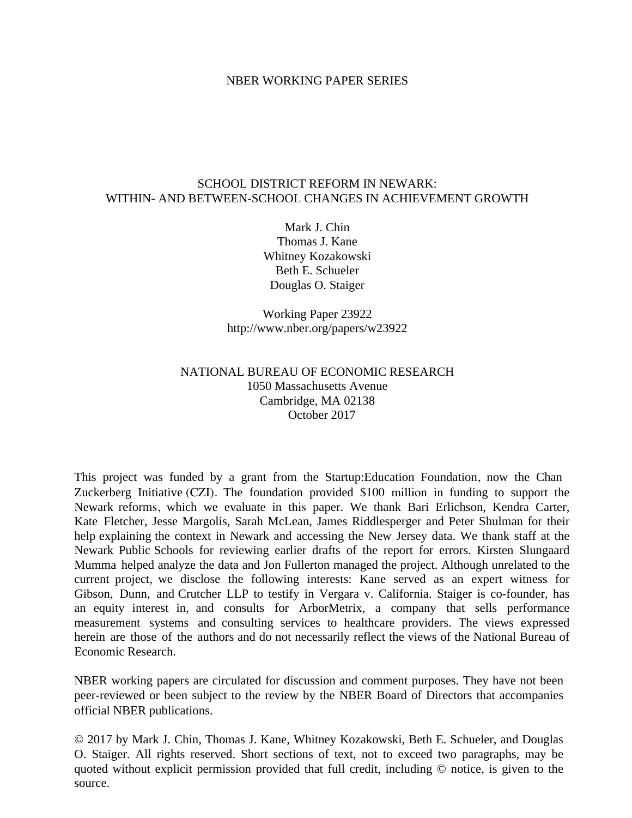#### NBER WORKING PAPER SERIES

# SCHOOL DISTRICT REFORM IN NEWARK: WITHIN- AND BETWEEN-SCHOOL CHANGES IN ACHIEVEMENT GROWTH

Mark J. Chin Thomas J. Kane Whitney Kozakowski Beth E. Schueler Douglas O. Staiger

Working Paper 23922 http://www.nber.org/papers/w23922

# NATIONAL BUREAU OF ECONOMIC RESEARCH 1050 Massachusetts Avenue Cambridge, MA 02138 October 2017

This project was funded by a grant from the Startup:Education Foundation, now the Chan Zuckerberg Initiative (CZI). The foundation provided \$100 million in funding to support the Newark reforms, which we evaluate in this paper. We thank Bari Erlichson, Kendra Carter, Kate Fletcher, Jesse Margolis, Sarah McLean, James Riddlesperger and Peter Shulman for their help explaining the context in Newark and accessing the New Jersey data. We thank staff at the Newark Public Schools for reviewing earlier drafts of the report for errors. Kirsten Slungaard Mumma helped analyze the data and Jon Fullerton managed the project. Although unrelated to the current project, we disclose the following interests: Kane served as an expert witness for Gibson, Dunn, and Crutcher LLP to testify in Vergara v. California. Staiger is co-founder, has an equity interest in, and consults for ArborMetrix, a company that sells performance measurement systems and consulting services to healthcare providers. The views expressed herein are those of the authors and do not necessarily reflect the views of the National Bureau of Economic Research.

NBER working papers are circulated for discussion and comment purposes. They have not been peer-reviewed or been subject to the review by the NBER Board of Directors that accompanies official NBER publications.

© 2017 by Mark J. Chin, Thomas J. Kane, Whitney Kozakowski, Beth E. Schueler, and Douglas O. Staiger. All rights reserved. Short sections of text, not to exceed two paragraphs, may be quoted without explicit permission provided that full credit, including © notice, is given to the source.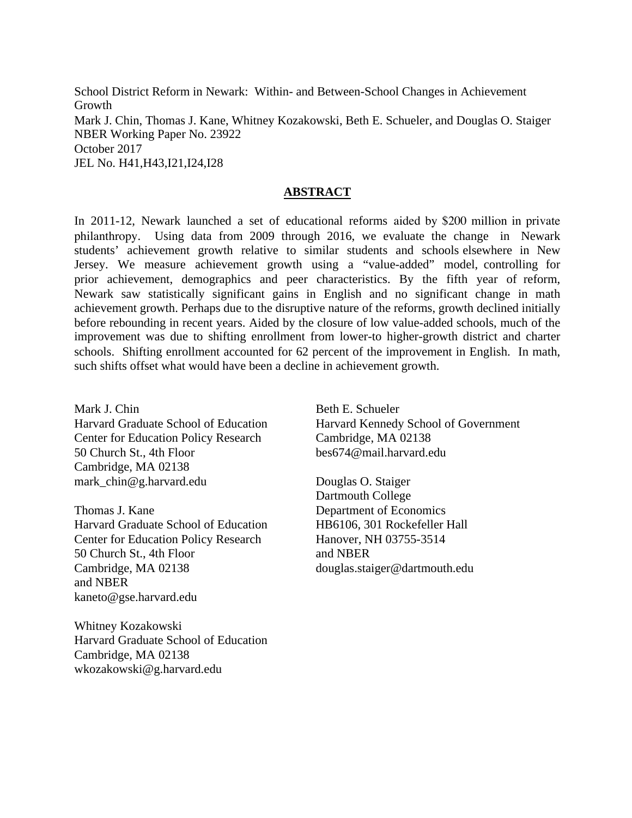School District Reform in Newark: Within- and Between-School Changes in Achievement Growth Mark J. Chin, Thomas J. Kane, Whitney Kozakowski, Beth E. Schueler, and Douglas O. Staiger NBER Working Paper No. 23922 October 2017 JEL No. H41,H43,I21,I24,I28

# **ABSTRACT**

In 2011-12, Newark launched a set of educational reforms aided by \$200 million in private philanthropy. Using data from 2009 through 2016, we evaluate the change in Newark students' achievement growth relative to similar students and schools elsewhere in New Jersey. We measure achievement growth using a "value-added" model, controlling for prior achievement, demographics and peer characteristics. By the fifth year of reform, Newark saw statistically significant gains in English and no significant change in math achievement growth. Perhaps due to the disruptive nature of the reforms, growth declined initially before rebounding in recent years. Aided by the closure of low value-added schools, much of the improvement was due to shifting enrollment from lower-to higher-growth district and charter schools. Shifting enrollment accounted for 62 percent of the improvement in English. In math, such shifts offset what would have been a decline in achievement growth.

Mark J. Chin Harvard Graduate School of Education Center for Education Policy Research 50 Church St., 4th Floor Cambridge, MA 02138 mark\_chin@g.harvard.edu

Thomas J. Kane Harvard Graduate School of Education Center for Education Policy Research 50 Church St., 4th Floor Cambridge, MA 02138 and NBER kaneto@gse.harvard.edu

Whitney Kozakowski Harvard Graduate School of Education Cambridge, MA 02138 wkozakowski@g.harvard.edu

Beth E. Schueler Harvard Kennedy School of Government Cambridge, MA 02138 bes674@mail.harvard.edu

Douglas O. Staiger Dartmouth College Department of Economics HB6106, 301 Rockefeller Hall Hanover, NH 03755-3514 and NBER douglas.staiger@dartmouth.edu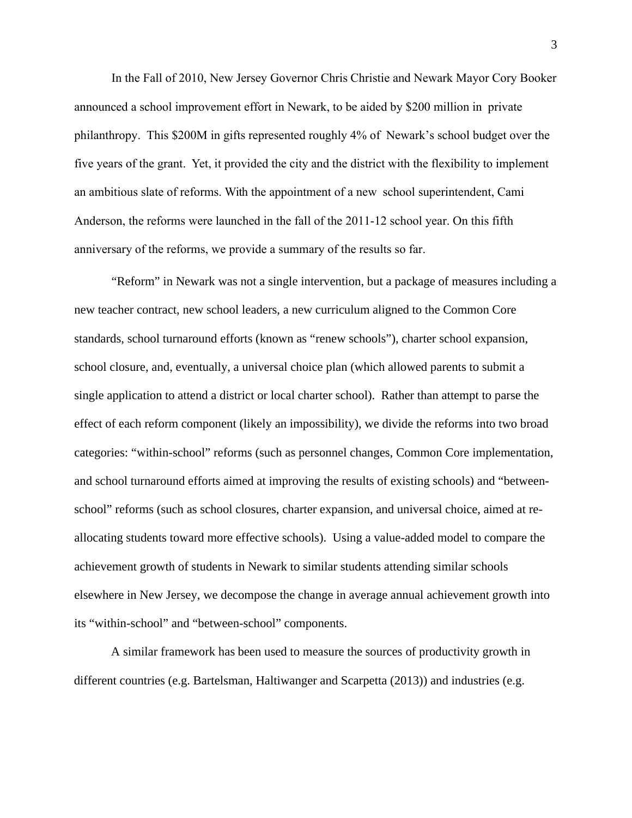In the Fall of 2010, New Jersey Governor Chris Christie and Newark Mayor Cory Booker announced a school improvement effort in Newark, to be aided by \$200 million in private philanthropy. This \$200M in gifts represented roughly 4% of Newark's school budget over the five years of the grant. Yet, it provided the city and the district with the flexibility to implement an ambitious slate of reforms. With the appointment of a new school superintendent, Cami Anderson, the reforms were launched in the fall of the 2011-12 school year. On this fifth anniversary of the reforms, we provide a summary of the results so far.

"Reform" in Newark was not a single intervention, but a package of measures including a new teacher contract, new school leaders, a new curriculum aligned to the Common Core standards, school turnaround efforts (known as "renew schools"), charter school expansion, school closure, and, eventually, a universal choice plan (which allowed parents to submit a single application to attend a district or local charter school). Rather than attempt to parse the effect of each reform component (likely an impossibility), we divide the reforms into two broad categories: "within-school" reforms (such as personnel changes, Common Core implementation, and school turnaround efforts aimed at improving the results of existing schools) and "betweenschool" reforms (such as school closures, charter expansion, and universal choice, aimed at reallocating students toward more effective schools). Using a value-added model to compare the achievement growth of students in Newark to similar students attending similar schools elsewhere in New Jersey, we decompose the change in average annual achievement growth into its "within-school" and "between-school" components.

A similar framework has been used to measure the sources of productivity growth in different countries (e.g. Bartelsman, Haltiwanger and Scarpetta (2013)) and industries (e.g.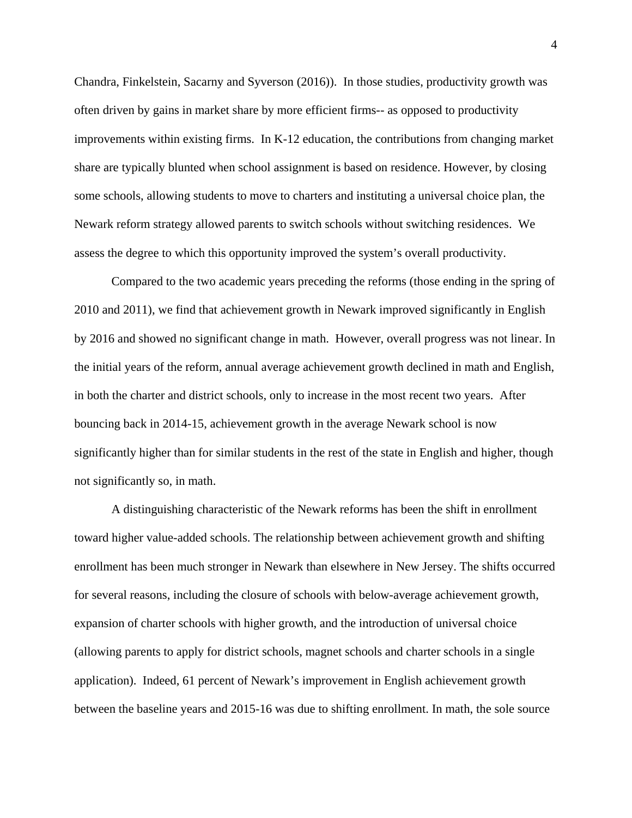Chandra, Finkelstein, Sacarny and Syverson (2016)). In those studies, productivity growth was often driven by gains in market share by more efficient firms-- as opposed to productivity improvements within existing firms. In K-12 education, the contributions from changing market share are typically blunted when school assignment is based on residence. However, by closing some schools, allowing students to move to charters and instituting a universal choice plan, the Newark reform strategy allowed parents to switch schools without switching residences. We assess the degree to which this opportunity improved the system's overall productivity.

Compared to the two academic years preceding the reforms (those ending in the spring of 2010 and 2011), we find that achievement growth in Newark improved significantly in English by 2016 and showed no significant change in math. However, overall progress was not linear. In the initial years of the reform, annual average achievement growth declined in math and English, in both the charter and district schools, only to increase in the most recent two years. After bouncing back in 2014-15, achievement growth in the average Newark school is now significantly higher than for similar students in the rest of the state in English and higher, though not significantly so, in math.

A distinguishing characteristic of the Newark reforms has been the shift in enrollment toward higher value-added schools. The relationship between achievement growth and shifting enrollment has been much stronger in Newark than elsewhere in New Jersey. The shifts occurred for several reasons, including the closure of schools with below-average achievement growth, expansion of charter schools with higher growth, and the introduction of universal choice (allowing parents to apply for district schools, magnet schools and charter schools in a single application). Indeed, 61 percent of Newark's improvement in English achievement growth between the baseline years and 2015-16 was due to shifting enrollment. In math, the sole source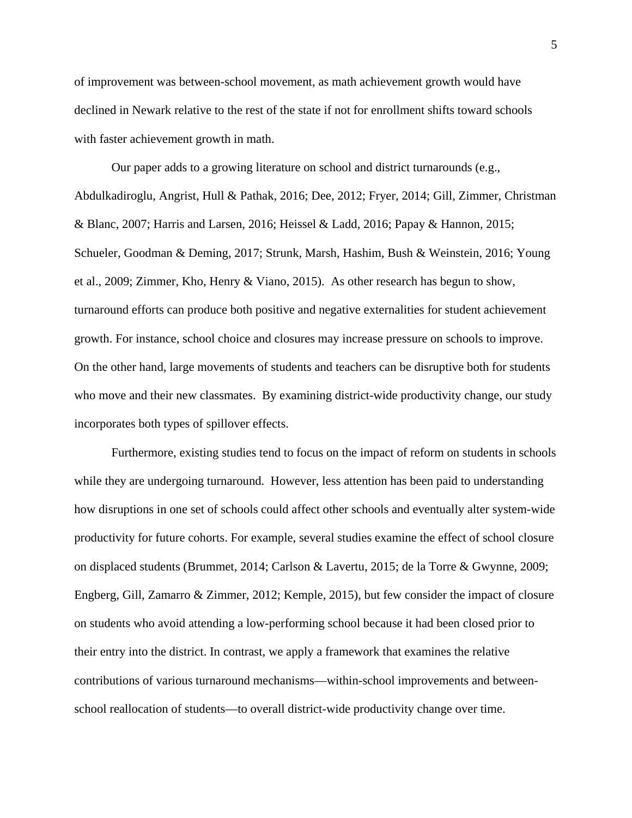of improvement was between-school movement, as math achievement growth would have declined in Newark relative to the rest of the state if not for enrollment shifts toward schools with faster achievement growth in math.

Our paper adds to a growing literature on school and district turnarounds (e.g., Abdulkadiroglu, Angrist, Hull & Pathak, 2016; Dee, 2012; Fryer, 2014; Gill, Zimmer, Christman & Blanc, 2007; Harris and Larsen, 2016; Heissel & Ladd, 2016; Papay & Hannon, 2015; Schueler, Goodman & Deming, 2017; Strunk, Marsh, Hashim, Bush & Weinstein, 2016; Young et al., 2009; Zimmer, Kho, Henry & Viano, 2015). As other research has begun to show, turnaround efforts can produce both positive and negative externalities for student achievement growth. For instance, school choice and closures may increase pressure on schools to improve. On the other hand, large movements of students and teachers can be disruptive both for students who move and their new classmates. By examining district-wide productivity change, our study incorporates both types of spillover effects.

Furthermore, existing studies tend to focus on the impact of reform on students in schools while they are undergoing turnaround. However, less attention has been paid to understanding how disruptions in one set of schools could affect other schools and eventually alter system-wide productivity for future cohorts. For example, several studies examine the effect of school closure on displaced students (Brummet, 2014; Carlson & Lavertu, 2015; de la Torre & Gwynne, 2009; Engberg, Gill, Zamarro & Zimmer, 2012; Kemple, 2015), but few consider the impact of closure on students who avoid attending a low-performing school because it had been closed prior to their entry into the district. In contrast, we apply a framework that examines the relative contributions of various turnaround mechanisms—within-school improvements and betweenschool reallocation of students—to overall district-wide productivity change over time.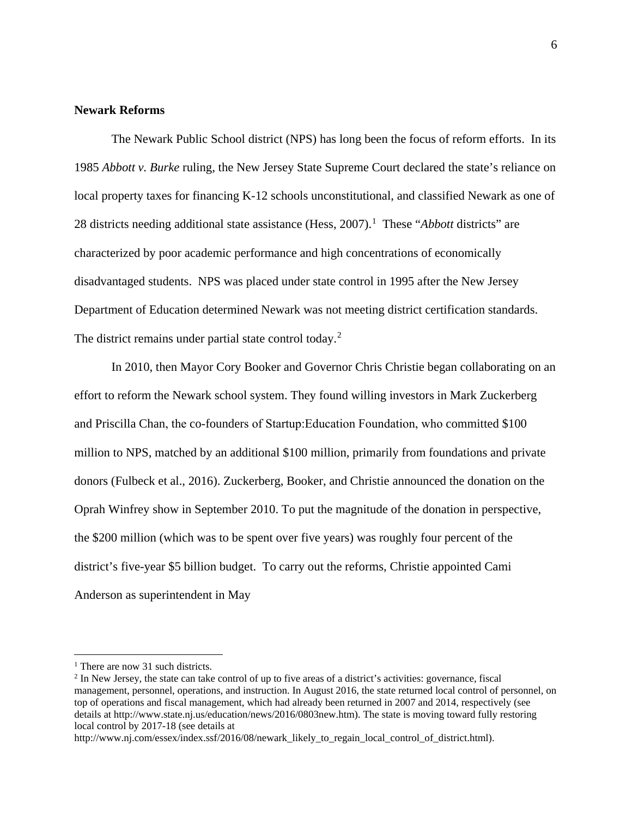### **Newark Reforms**

The Newark Public School district (NPS) has long been the focus of reform efforts. In its 1985 *Abbott v. Burke* ruling, the New Jersey State Supreme Court declared the state's reliance on local property taxes for financing K-12 schools unconstitutional, and classified Newark as one of 28 districts needing additional state assistance (Hess, 2007). [1](#page-5-0) These "*Abbott* districts" are characterized by poor academic performance and high concentrations of economically disadvantaged students. NPS was placed under state control in 1995 after the New Jersey Department of Education determined Newark was not meeting district certification standards. The district remains under partial state control today.<sup>[2](#page-5-1)</sup>

In 2010, then Mayor Cory Booker and Governor Chris Christie began collaborating on an effort to reform the Newark school system. They found willing investors in Mark Zuckerberg and Priscilla Chan, the co-founders of Startup:Education Foundation, who committed \$100 million to NPS, matched by an additional \$100 million, primarily from foundations and private donors (Fulbeck et al., 2016). Zuckerberg, Booker, and Christie announced the donation on the Oprah Winfrey show in September 2010. To put the magnitude of the donation in perspective, the \$200 million (which was to be spent over five years) was roughly four percent of the district's five-year \$5 billion budget. To carry out the reforms, Christie appointed Cami Anderson as superintendent in May

<span id="page-5-0"></span><sup>&</sup>lt;sup>1</sup> There are now 31 such districts.

<span id="page-5-1"></span> $2 \text{ In New Jersey, the state can take control of up to five areas of a district's activities: governance, fiscal$ management, personnel, operations, and instruction. In August 2016, the state returned local control of personnel, on top of operations and fiscal management, which had already been returned in 2007 and 2014, respectively (see details at http://www.state.nj.us/education/news/2016/0803new.htm). The state is moving toward fully restoring local control by 2017-18 (see details at

http://www.nj.com/essex/index.ssf/2016/08/newark\_likely\_to\_regain\_local\_control\_of\_district.html).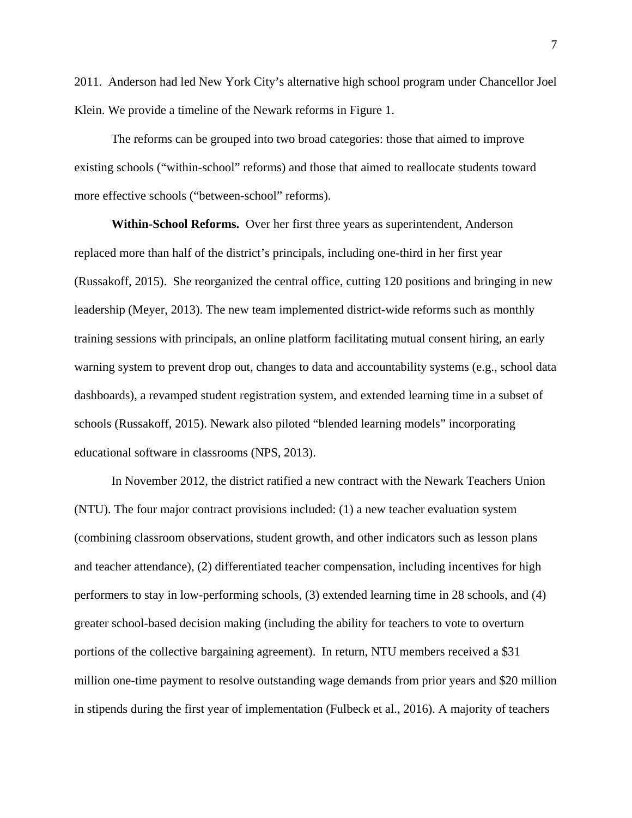2011. Anderson had led New York City's alternative high school program under Chancellor Joel Klein. We provide a timeline of the Newark reforms in Figure 1.

The reforms can be grouped into two broad categories: those that aimed to improve existing schools ("within-school" reforms) and those that aimed to reallocate students toward more effective schools ("between-school" reforms).

**Within-School Reforms.** Over her first three years as superintendent, Anderson replaced more than half of the district's principals, including one-third in her first year (Russakoff, 2015). She reorganized the central office, cutting 120 positions and bringing in new leadership (Meyer, 2013). The new team implemented district-wide reforms such as monthly training sessions with principals, an online platform facilitating mutual consent hiring, an early warning system to prevent drop out, changes to data and accountability systems (e.g., school data dashboards), a revamped student registration system, and extended learning time in a subset of schools (Russakoff, 2015). Newark also piloted "blended learning models" incorporating educational software in classrooms (NPS, 2013).

In November 2012, the district ratified a new contract with the Newark Teachers Union (NTU). The four major contract provisions included: (1) a new teacher evaluation system (combining classroom observations, student growth, and other indicators such as lesson plans and teacher attendance), (2) differentiated teacher compensation, including incentives for high performers to stay in low-performing schools, (3) extended learning time in 28 schools, and (4) greater school-based decision making (including the ability for teachers to vote to overturn portions of the collective bargaining agreement). In return, NTU members received a \$31 million one-time payment to resolve outstanding wage demands from prior years and \$20 million in stipends during the first year of implementation (Fulbeck et al., 2016). A majority of teachers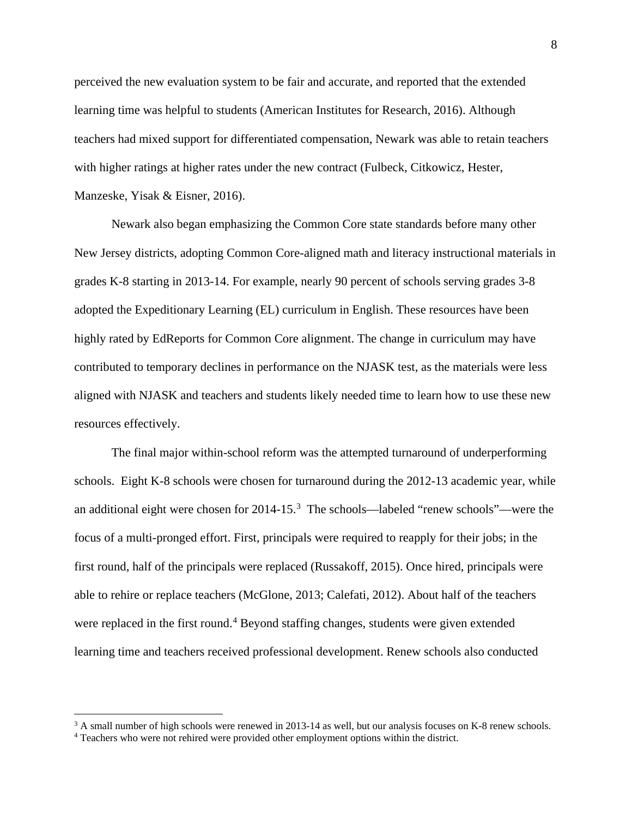perceived the new evaluation system to be fair and accurate, and reported that the extended learning time was helpful to students (American Institutes for Research, 2016). Although teachers had mixed support for differentiated compensation, Newark was able to retain teachers with higher ratings at higher rates under the new contract (Fulbeck, Citkowicz, Hester, Manzeske, Yisak & Eisner, 2016).

Newark also began emphasizing the Common Core state standards before many other New Jersey districts, adopting Common Core-aligned math and literacy instructional materials in grades K-8 starting in 2013-14. For example, nearly 90 percent of schools serving grades 3-8 adopted the Expeditionary Learning (EL) curriculum in English. These resources have been highly rated by EdReports for Common Core alignment. The change in curriculum may have contributed to temporary declines in performance on the NJASK test, as the materials were less aligned with NJASK and teachers and students likely needed time to learn how to use these new resources effectively.

The final major within-school reform was the attempted turnaround of underperforming schools. Eight K-8 schools were chosen for turnaround during the 2012-13 academic year, while an additional eight were chosen for  $2014-15.^3$  $2014-15.^3$  The schools—labeled "renew schools"—were the focus of a multi-pronged effort. First, principals were required to reapply for their jobs; in the first round, half of the principals were replaced (Russakoff, 2015). Once hired, principals were able to rehire or replace teachers (McGlone, 2013; Calefati, 2012). About half of the teachers were replaced in the first round.<sup>[4](#page-7-1)</sup> Beyond staffing changes, students were given extended learning time and teachers received professional development. Renew schools also conducted

<span id="page-7-0"></span><sup>&</sup>lt;sup>3</sup> A small number of high schools were renewed in 2013-14 as well, but our analysis focuses on K-8 renew schools.

<span id="page-7-1"></span><sup>4</sup> Teachers who were not rehired were provided other employment options within the district.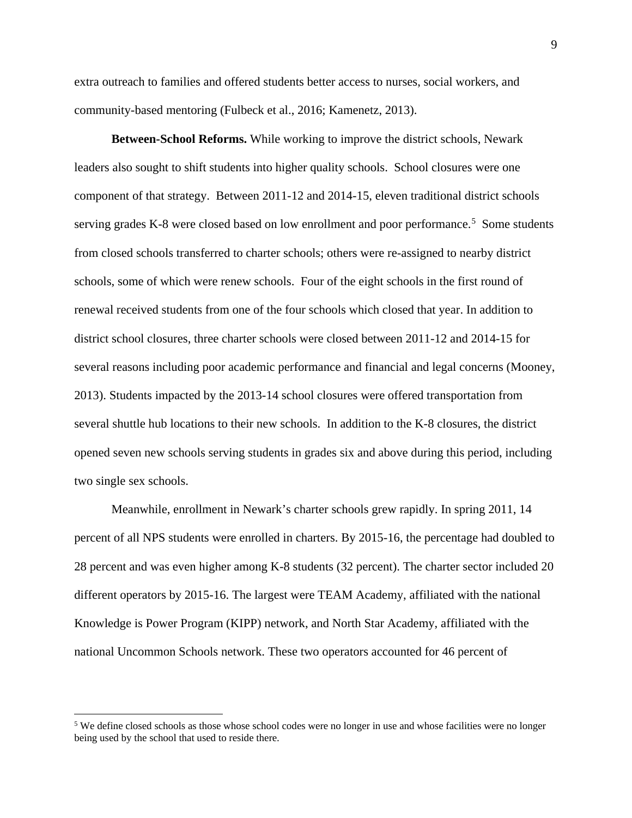extra outreach to families and offered students better access to nurses, social workers, and community-based mentoring (Fulbeck et al., 2016; Kamenetz, 2013).

**Between-School Reforms.** While working to improve the district schools, Newark leaders also sought to shift students into higher quality schools. School closures were one component of that strategy. Between 2011-12 and 2014-15, eleven traditional district schools serving grades K-8 were closed based on low enrollment and poor performance.<sup>[5](#page-8-0)</sup> Some students from closed schools transferred to charter schools; others were re-assigned to nearby district schools, some of which were renew schools. Four of the eight schools in the first round of renewal received students from one of the four schools which closed that year. In addition to district school closures, three charter schools were closed between 2011-12 and 2014-15 for several reasons including poor academic performance and financial and legal concerns (Mooney, 2013). Students impacted by the 2013-14 school closures were offered transportation from several shuttle hub locations to their new schools. In addition to the K-8 closures, the district opened seven new schools serving students in grades six and above during this period, including two single sex schools.

Meanwhile, enrollment in Newark's charter schools grew rapidly. In spring 2011, 14 percent of all NPS students were enrolled in charters. By 2015-16, the percentage had doubled to 28 percent and was even higher among K-8 students (32 percent). The charter sector included 20 different operators by 2015-16. The largest were TEAM Academy, affiliated with the national Knowledge is Power Program (KIPP) network, and North Star Academy, affiliated with the national Uncommon Schools network. These two operators accounted for 46 percent of

<span id="page-8-0"></span><sup>&</sup>lt;sup>5</sup> We define closed schools as those whose school codes were no longer in use and whose facilities were no longer being used by the school that used to reside there.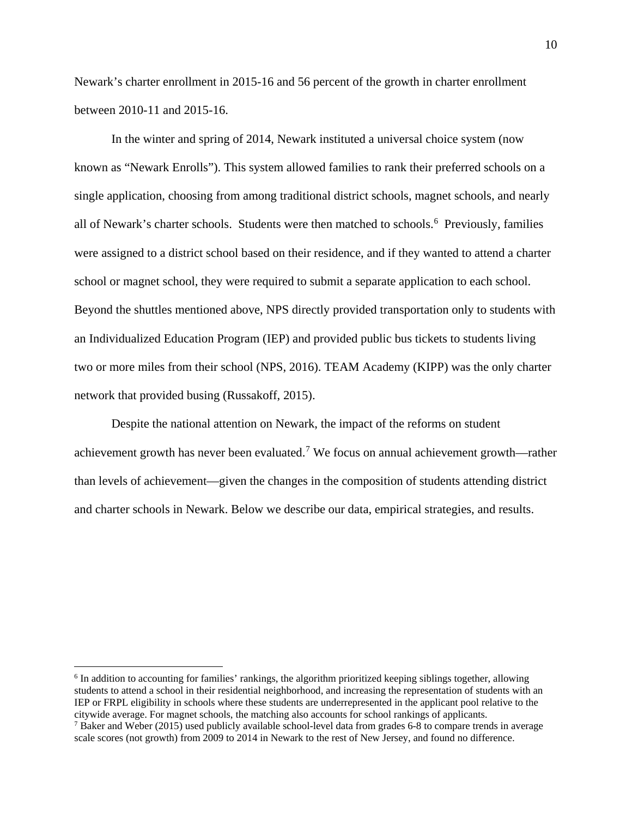Newark's charter enrollment in 2015-16 and 56 percent of the growth in charter enrollment between 2010-11 and 2015-16.

In the winter and spring of 2014, Newark instituted a universal choice system (now known as "Newark Enrolls"). This system allowed families to rank their preferred schools on a single application, choosing from among traditional district schools, magnet schools, and nearly all of Newark's charter schools. Students were then matched to schools.<sup>[6](#page-9-0)</sup> Previously, families were assigned to a district school based on their residence, and if they wanted to attend a charter school or magnet school, they were required to submit a separate application to each school. Beyond the shuttles mentioned above, NPS directly provided transportation only to students with an Individualized Education Program (IEP) and provided public bus tickets to students living two or more miles from their school (NPS, 2016). TEAM Academy (KIPP) was the only charter network that provided busing (Russakoff, 2015).

Despite the national attention on Newark, the impact of the reforms on student achievement growth has never been evaluated.<sup>[7](#page-9-1)</sup> We focus on annual achievement growth—rather than levels of achievement—given the changes in the composition of students attending district and charter schools in Newark. Below we describe our data, empirical strategies, and results.

<span id="page-9-0"></span><sup>&</sup>lt;sup>6</sup> In addition to accounting for families' rankings, the algorithm prioritized keeping siblings together, allowing students to attend a school in their residential neighborhood, and increasing the representation of students with an IEP or FRPL eligibility in schools where these students are underrepresented in the applicant pool relative to the citywide average. For magnet schools, the matching also accounts for school rankings of applicants.

<span id="page-9-1"></span><sup>7</sup> Baker and Weber (2015) used publicly available school-level data from grades 6-8 to compare trends in average scale scores (not growth) from 2009 to 2014 in Newark to the rest of New Jersey, and found no difference.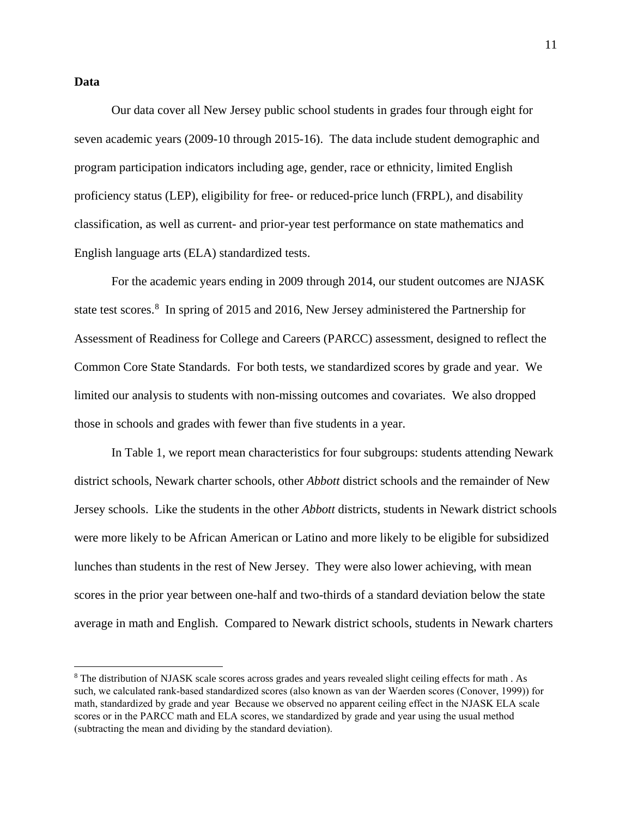#### **Data**

Our data cover all New Jersey public school students in grades four through eight for seven academic years (2009-10 through 2015-16). The data include student demographic and program participation indicators including age, gender, race or ethnicity, limited English proficiency status (LEP), eligibility for free- or reduced-price lunch (FRPL), and disability classification, as well as current- and prior-year test performance on state mathematics and English language arts (ELA) standardized tests.

For the academic years ending in 2009 through 2014, our student outcomes are NJASK state test scores.<sup>[8](#page-10-0)</sup> In spring of 2015 and 2016, New Jersey administered the Partnership for Assessment of Readiness for College and Careers (PARCC) assessment, designed to reflect the Common Core State Standards. For both tests, we standardized scores by grade and year. We limited our analysis to students with non-missing outcomes and covariates. We also dropped those in schools and grades with fewer than five students in a year.

In Table 1, we report mean characteristics for four subgroups: students attending Newark district schools, Newark charter schools, other *Abbott* district schools and the remainder of New Jersey schools. Like the students in the other *Abbott* districts, students in Newark district schools were more likely to be African American or Latino and more likely to be eligible for subsidized lunches than students in the rest of New Jersey. They were also lower achieving, with mean scores in the prior year between one-half and two-thirds of a standard deviation below the state average in math and English. Compared to Newark district schools, students in Newark charters

<span id="page-10-0"></span><sup>8</sup> The distribution of NJASK scale scores across grades and years revealed slight ceiling effects for math . As such, we calculated rank-based standardized scores (also known as van der Waerden scores (Conover, 1999)) for math, standardized by grade and year Because we observed no apparent ceiling effect in the NJASK ELA scale scores or in the PARCC math and ELA scores, we standardized by grade and year using the usual method (subtracting the mean and dividing by the standard deviation).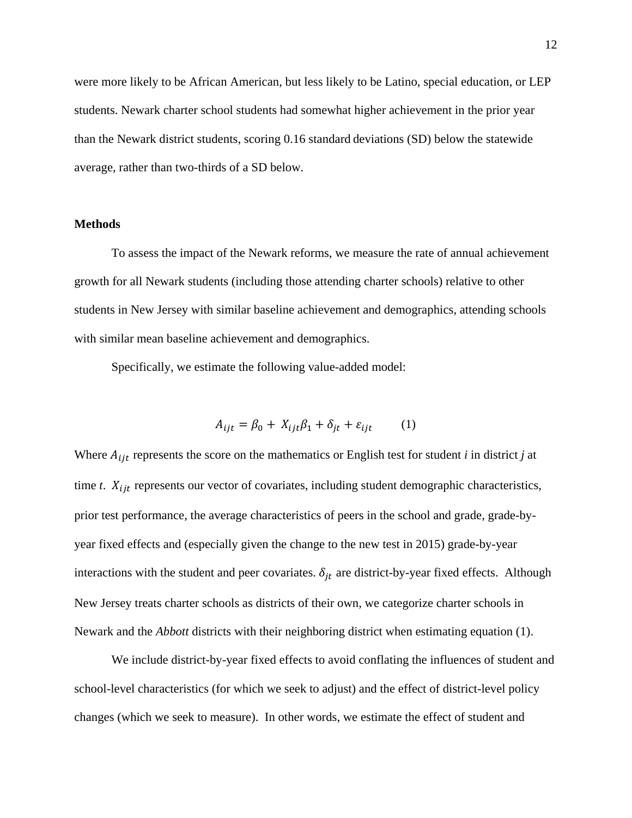were more likely to be African American, but less likely to be Latino, special education, or LEP students. Newark charter school students had somewhat higher achievement in the prior year than the Newark district students, scoring 0.16 standard deviations (SD) below the statewide average, rather than two-thirds of a SD below.

### **Methods**

To assess the impact of the Newark reforms, we measure the rate of annual achievement growth for all Newark students (including those attending charter schools) relative to other students in New Jersey with similar baseline achievement and demographics, attending schools with similar mean baseline achievement and demographics.

Specifically, we estimate the following value-added model:

$$
A_{ijt} = \beta_0 + X_{ijt}\beta_1 + \delta_{jt} + \varepsilon_{ijt} \tag{1}
$$

Where  $A_{ijt}$  represents the score on the mathematics or English test for student *i* in district *j* at time  $t$ .  $X_{ijt}$  represents our vector of covariates, including student demographic characteristics, prior test performance, the average characteristics of peers in the school and grade, grade-byyear fixed effects and (especially given the change to the new test in 2015) grade-by-year interactions with the student and peer covariates.  $\delta_{it}$  are district-by-year fixed effects. Although New Jersey treats charter schools as districts of their own, we categorize charter schools in Newark and the *Abbott* districts with their neighboring district when estimating equation (1).

We include district-by-year fixed effects to avoid conflating the influences of student and school-level characteristics (for which we seek to adjust) and the effect of district-level policy changes (which we seek to measure). In other words, we estimate the effect of student and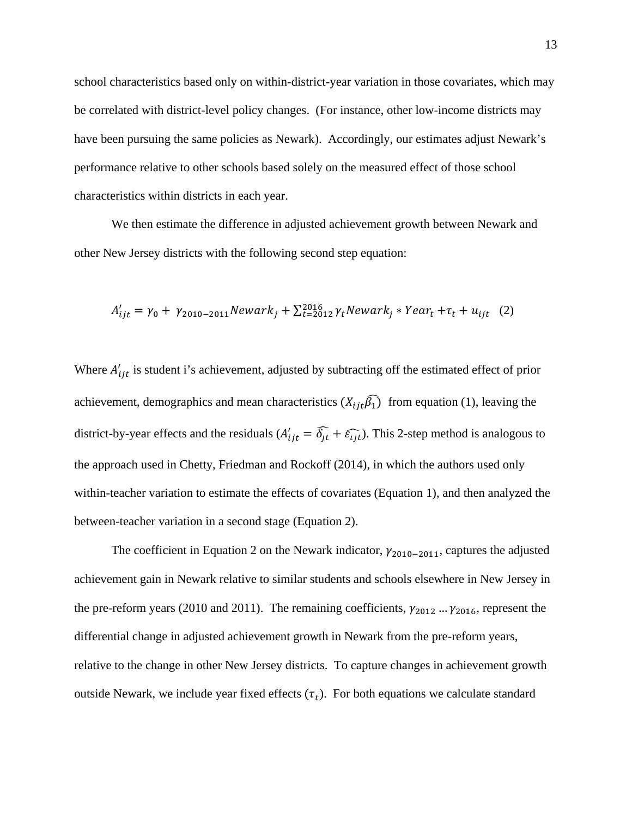school characteristics based only on within-district-year variation in those covariates, which may be correlated with district-level policy changes. (For instance, other low-income districts may have been pursuing the same policies as Newark). Accordingly, our estimates adjust Newark's performance relative to other schools based solely on the measured effect of those school characteristics within districts in each year.

We then estimate the difference in adjusted achievement growth between Newark and other New Jersey districts with the following second step equation:

$$
A'_{ijt} = \gamma_0 + \gamma_{2010-2011} \text{Newark}_j + \sum_{t=2012}^{2016} \gamma_t \text{Newark}_j * \text{Year}_t + \tau_t + u_{ijt} \quad (2)
$$

Where  $A'_{ijt}$  is student i's achievement, adjusted by subtracting off the estimated effect of prior achievement, demographics and mean characteristics  $(X_{ijt} \hat{\beta}_1)$  from equation (1), leaving the district-by-year effects and the residuals  $(A'_{ijt} = \delta_{jt} + \varepsilon_{ijt})$ . This 2-step method is analogous to the approach used in Chetty, Friedman and Rockoff (2014), in which the authors used only within-teacher variation to estimate the effects of covariates (Equation 1), and then analyzed the between-teacher variation in a second stage (Equation 2).

The coefficient in Equation 2 on the Newark indicator,  $\gamma_{2010-2011}$ , captures the adjusted achievement gain in Newark relative to similar students and schools elsewhere in New Jersey in the pre-reform years (2010 and 2011). The remaining coefficients,  $\gamma_{2012}$  ...  $\gamma_{2016}$ , represent the differential change in adjusted achievement growth in Newark from the pre-reform years, relative to the change in other New Jersey districts. To capture changes in achievement growth outside Newark, we include year fixed effects  $(\tau_t)$ . For both equations we calculate standard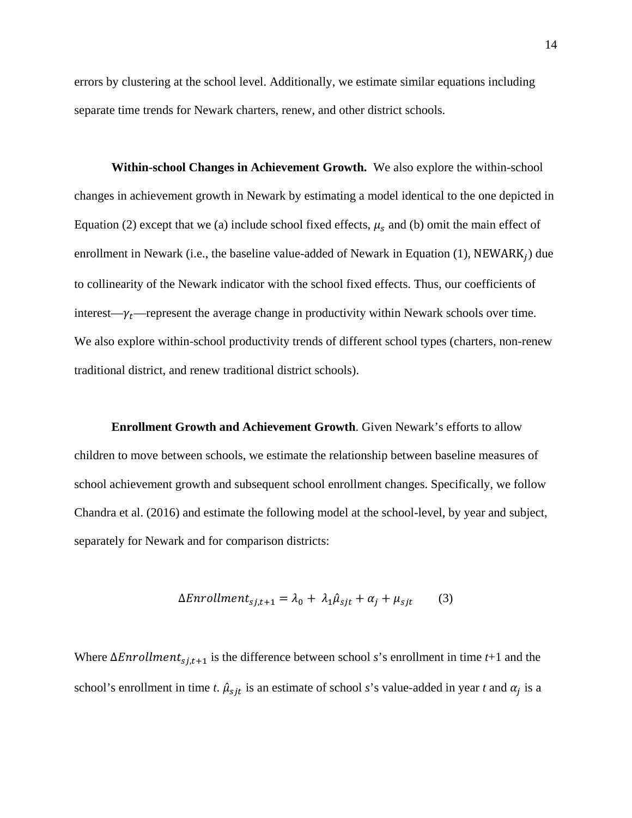errors by clustering at the school level. Additionally, we estimate similar equations including separate time trends for Newark charters, renew, and other district schools.

**Within-school Changes in Achievement Growth.** We also explore the within-school changes in achievement growth in Newark by estimating a model identical to the one depicted in Equation (2) except that we (a) include school fixed effects,  $\mu_s$  and (b) omit the main effect of enrollment in Newark (i.e., the baseline value-added of Newark in Equation (1), NEWARK $_i$ ) due to collinearity of the Newark indicator with the school fixed effects. Thus, our coefficients of interest— $\gamma_t$ —represent the average change in productivity within Newark schools over time. We also explore within-school productivity trends of different school types (charters, non-renew traditional district, and renew traditional district schools).

**Enrollment Growth and Achievement Growth**. Given Newark's efforts to allow children to move between schools, we estimate the relationship between baseline measures of school achievement growth and subsequent school enrollment changes. Specifically, we follow Chandra et al. (2016) and estimate the following model at the school-level, by year and subject, separately for Newark and for comparison districts:

$$
\Delta Enrollment_{sj,t+1} = \lambda_0 + \lambda_1 \hat{\mu}_{sjt} + \alpha_j + \mu_{sjt} \tag{3}
$$

Where  $\Delta Enrollment_{s,j,t+1}$  is the difference between school *s*'s enrollment in time *t*+1 and the school's enrollment in time *t*.  $\hat{\mu}_{sit}$  is an estimate of school *s*'s value-added in year *t* and  $\alpha_i$  is a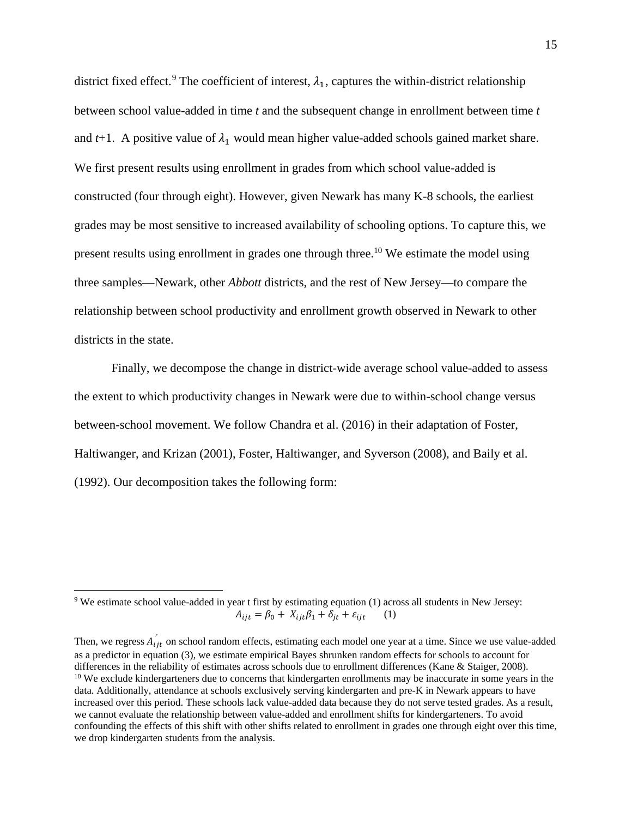district fixed effect.<sup>[9](#page-14-0)</sup> The coefficient of interest,  $\lambda_1$ , captures the within-district relationship between school value-added in time *t* and the subsequent change in enrollment between time *t*  and  $t+1$ . A positive value of  $\lambda_1$  would mean higher value-added schools gained market share. We first present results using enrollment in grades from which school value-added is constructed (four through eight). However, given Newark has many K-8 schools, the earliest grades may be most sensitive to increased availability of schooling options. To capture this, we present results using enrollment in grades one through three.<sup>[10](#page-14-1)</sup> We estimate the model using three samples—Newark, other *Abbott* districts, and the rest of New Jersey—to compare the relationship between school productivity and enrollment growth observed in Newark to other districts in the state.

Finally, we decompose the change in district-wide average school value-added to assess the extent to which productivity changes in Newark were due to within-school change versus between-school movement. We follow Chandra et al. (2016) in their adaptation of Foster, Haltiwanger, and Krizan (2001), Foster, Haltiwanger, and Syverson (2008), and Baily et al. (1992). Our decomposition takes the following form:

<span id="page-14-0"></span> $9$  We estimate school value-added in year t first by estimating equation (1) across all students in New Jersey:  $A_{ijt} = \beta_0 + X_{ijt}\beta_1 + \delta_{it} + \varepsilon_{ijt}$  (1)

<span id="page-14-1"></span>Then, we regress  $A_{ijt}$  on school random effects, estimating each model one year at a time. Since we use value-added as a predictor in equation (3), we estimate empirical Bayes shrunken random effects for schools to account for differences in the reliability of estimates across schools due to enrollment differences (Kane & Staiger, 2008).<br><sup>10</sup> We exclude kindergarteners due to concerns that kindergarten enrollments may be inaccurate in some year data. Additionally, attendance at schools exclusively serving kindergarten and pre-K in Newark appears to have increased over this period. These schools lack value-added data because they do not serve tested grades. As a result, we cannot evaluate the relationship between value-added and enrollment shifts for kindergarteners. To avoid confounding the effects of this shift with other shifts related to enrollment in grades one through eight over this time, we drop kindergarten students from the analysis.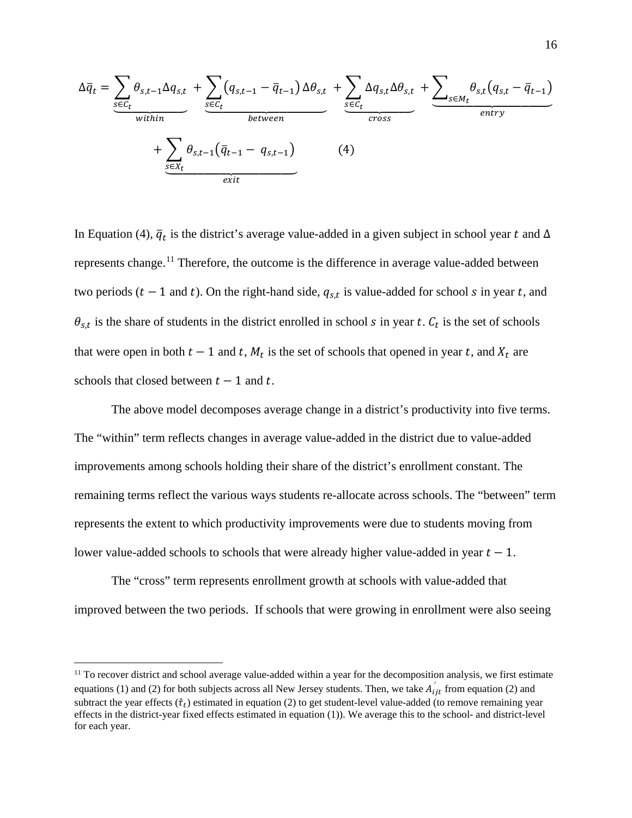$$
\Delta \overline{q}_t = \underbrace{\sum_{s \in C_t} \theta_{s,t-1} \Delta q_{s,t}}_{within} + \underbrace{\sum_{s \in C_t} (q_{s,t-1} - \overline{q}_{t-1}) \Delta \theta_{s,t}}_{between} + \underbrace{\sum_{s \in C_t} \Delta q_{s,t} \Delta \theta_{s,t}}_{exists} + \underbrace{\sum_{s \in M_t} \theta_{s,t} (q_{s,t} - \overline{q}_{t-1})}_{cross}
$$
\n(4)

In Equation (4),  $\overline{q}_t$  is the district's average value-added in a given subject in school year t and  $\Delta$ represents change.<sup>11</sup> Therefore, the outcome is the difference in average value-added between two periods  $(t - 1$  and t). On the right-hand side,  $q_{s,t}$  is value-added for school s in year t, and  $\theta_{s,t}$  is the share of students in the district enrolled in school s in year t.  $C_t$  is the set of schools that were open in both  $t-1$  and t,  $M_t$  is the set of schools that opened in year t, and  $X_t$  are schools that closed between  $t - 1$  and t.

The above model decomposes average change in a district's productivity into five terms. The "within" term reflects changes in average value-added in the district due to value-added improvements among schools holding their share of the district's enrollment constant. The remaining terms reflect the various ways students re-allocate across schools. The "between" term represents the extent to which productivity improvements were due to students moving from lower value-added schools to schools that were already higher value-added in year  $t - 1$ .

The "cross" term represents enrollment growth at schools with value-added that improved between the two periods. If schools that were growing in enrollment were also seeing

<span id="page-15-0"></span><sup>&</sup>lt;sup>11</sup> To recover district and school average value-added within a year for the decomposition analysis, we first estimate equations (1) and (2) for both subjects across all New Jersey students. Then, we take  $A'_{ijt}$  from equation (2) and subtract the year effects  $(\hat{\tau}_t)$  estimated in equation (2) to get student-level value-added (to remove remaining year effects in the district-year fixed effects estimated in equation (1)). We average this to the school- and district-level for each year.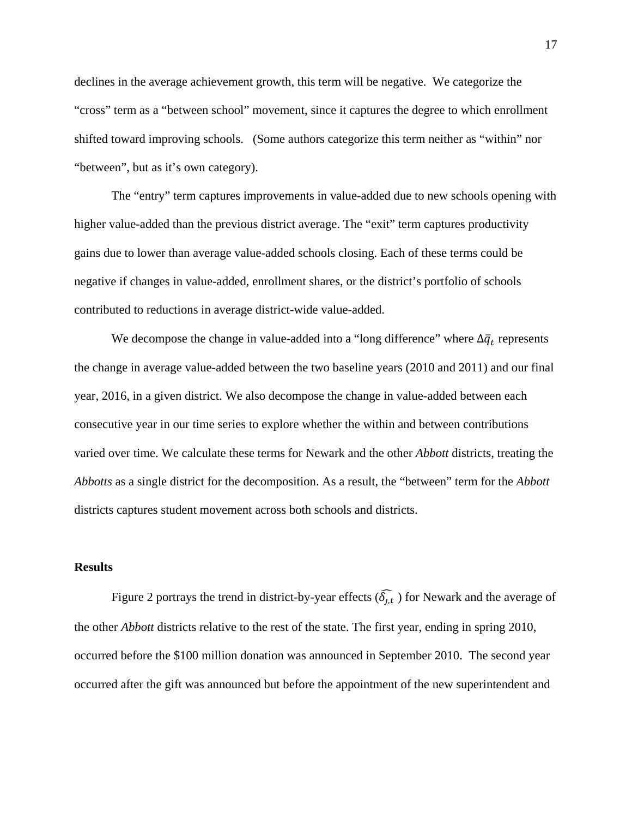declines in the average achievement growth, this term will be negative. We categorize the "cross" term as a "between school" movement, since it captures the degree to which enrollment shifted toward improving schools. (Some authors categorize this term neither as "within" nor "between", but as it's own category).

The "entry" term captures improvements in value-added due to new schools opening with higher value-added than the previous district average. The "exit" term captures productivity gains due to lower than average value-added schools closing. Each of these terms could be negative if changes in value-added, enrollment shares, or the district's portfolio of schools contributed to reductions in average district-wide value-added.

We decompose the change in value-added into a "long difference" where  $\Delta \bar{q}_t$  represents the change in average value-added between the two baseline years (2010 and 2011) and our final year, 2016, in a given district. We also decompose the change in value-added between each consecutive year in our time series to explore whether the within and between contributions varied over time. We calculate these terms for Newark and the other *Abbott* districts, treating the *Abbotts* as a single district for the decomposition. As a result, the "between" term for the *Abbott* districts captures student movement across both schools and districts.

#### **Results**

Figure 2 portrays the trend in district-by-year effects  $(\delta_{j,t})$  for Newark and the average of the other *Abbott* districts relative to the rest of the state. The first year, ending in spring 2010, occurred before the \$100 million donation was announced in September 2010. The second year occurred after the gift was announced but before the appointment of the new superintendent and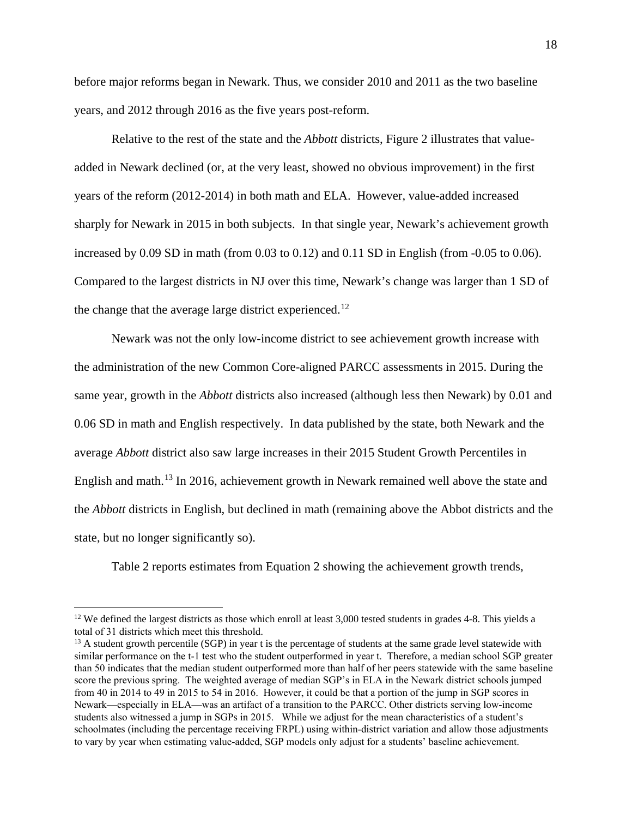before major reforms began in Newark. Thus, we consider 2010 and 2011 as the two baseline years, and 2012 through 2016 as the five years post-reform.

Relative to the rest of the state and the *Abbott* districts, Figure 2 illustrates that valueadded in Newark declined (or, at the very least, showed no obvious improvement) in the first years of the reform (2012-2014) in both math and ELA. However, value-added increased sharply for Newark in 2015 in both subjects. In that single year, Newark's achievement growth increased by 0.09 SD in math (from 0.03 to 0.12) and 0.11 SD in English (from -0.05 to 0.06). Compared to the largest districts in NJ over this time, Newark's change was larger than 1 SD of the change that the average large district experienced.<sup>[12](#page-17-0)</sup>

Newark was not the only low-income district to see achievement growth increase with the administration of the new Common Core-aligned PARCC assessments in 2015. During the same year, growth in the *Abbott* districts also increased (although less then Newark) by 0.01 and 0.06 SD in math and English respectively. In data published by the state, both Newark and the average *Abbott* district also saw large increases in their 2015 Student Growth Percentiles in English and math.<sup>13</sup> In 2016, achievement growth in Newark remained well above the state and the *Abbott* districts in English, but declined in math (remaining above the Abbot districts and the state, but no longer significantly so).

Table 2 reports estimates from Equation 2 showing the achievement growth trends,

<span id="page-17-0"></span><sup>&</sup>lt;sup>12</sup> We defined the largest districts as those which enroll at least 3,000 tested students in grades 4-8. This yields a total of 31 districts which meet this threshold.

<span id="page-17-1"></span> $13$  A student growth percentile (SGP) in year t is the percentage of students at the same grade level statewide with similar performance on the t-1 test who the student outperformed in year t. Therefore, a median school SGP greater than 50 indicates that the median student outperformed more than half of her peers statewide with the same baseline score the previous spring. The weighted average of median SGP's in ELA in the Newark district schools jumped from 40 in 2014 to 49 in 2015 to 54 in 2016. However, it could be that a portion of the jump in SGP scores in Newark—especially in ELA—was an artifact of a transition to the PARCC. Other districts serving low-income students also witnessed a jump in SGPs in 2015. While we adjust for the mean characteristics of a student's schoolmates (including the percentage receiving FRPL) using within-district variation and allow those adjustments to vary by year when estimating value-added, SGP models only adjust for a students' baseline achievement.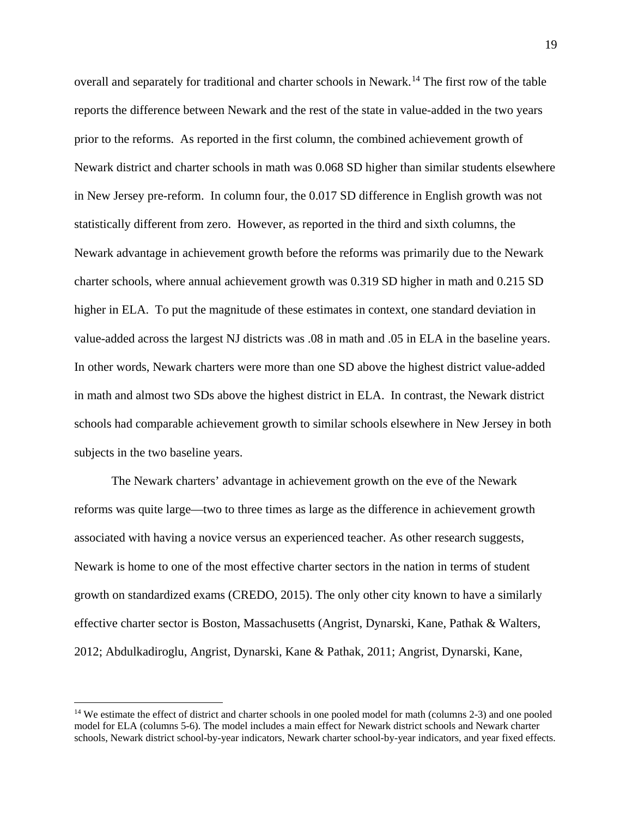overall and separately for traditional and charter schools in Newark.[14](#page-18-0) The first row of the table reports the difference between Newark and the rest of the state in value-added in the two years prior to the reforms. As reported in the first column, the combined achievement growth of Newark district and charter schools in math was 0.068 SD higher than similar students elsewhere in New Jersey pre-reform. In column four, the 0.017 SD difference in English growth was not statistically different from zero. However, as reported in the third and sixth columns, the Newark advantage in achievement growth before the reforms was primarily due to the Newark charter schools, where annual achievement growth was 0.319 SD higher in math and 0.215 SD higher in ELA. To put the magnitude of these estimates in context, one standard deviation in value-added across the largest NJ districts was .08 in math and .05 in ELA in the baseline years. In other words, Newark charters were more than one SD above the highest district value-added in math and almost two SDs above the highest district in ELA. In contrast, the Newark district schools had comparable achievement growth to similar schools elsewhere in New Jersey in both subjects in the two baseline years.

The Newark charters' advantage in achievement growth on the eve of the Newark reforms was quite large—two to three times as large as the difference in achievement growth associated with having a novice versus an experienced teacher. As other research suggests, Newark is home to one of the most effective charter sectors in the nation in terms of student growth on standardized exams (CREDO, 2015). The only other city known to have a similarly effective charter sector is Boston, Massachusetts (Angrist, Dynarski, Kane, Pathak & Walters, 2012; Abdulkadiroglu, Angrist, Dynarski, Kane & Pathak, 2011; Angrist, Dynarski, Kane,

<span id="page-18-0"></span><sup>&</sup>lt;sup>14</sup> We estimate the effect of district and charter schools in one pooled model for math (columns 2-3) and one pooled model for ELA (columns 5-6). The model includes a main effect for Newark district schools and Newark charter schools, Newark district school-by-year indicators, Newark charter school-by-year indicators, and year fixed effects.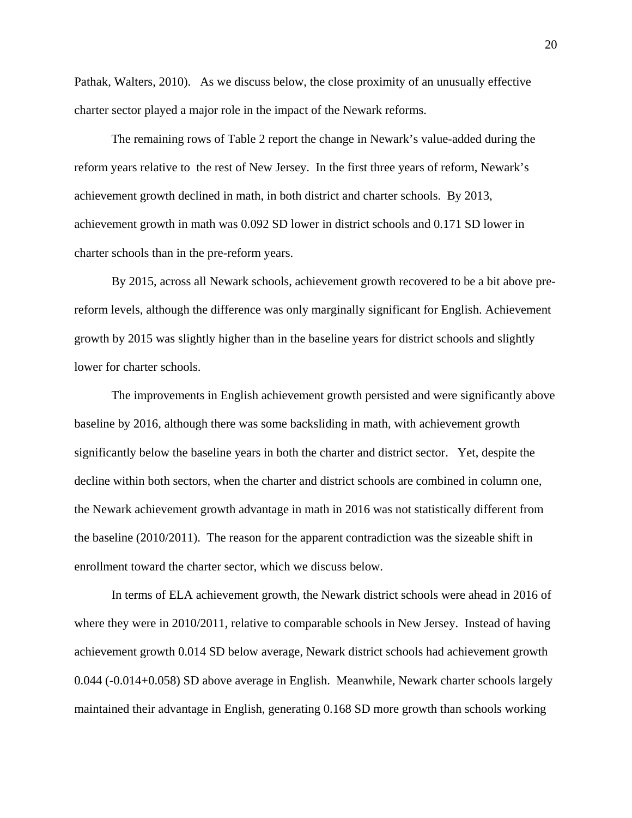Pathak, Walters, 2010). As we discuss below, the close proximity of an unusually effective charter sector played a major role in the impact of the Newark reforms.

 The remaining rows of Table 2 report the change in Newark's value-added during the reform years relative to the rest of New Jersey. In the first three years of reform, Newark's achievement growth declined in math, in both district and charter schools. By 2013, achievement growth in math was 0.092 SD lower in district schools and 0.171 SD lower in charter schools than in the pre-reform years.

By 2015, across all Newark schools, achievement growth recovered to be a bit above prereform levels, although the difference was only marginally significant for English. Achievement growth by 2015 was slightly higher than in the baseline years for district schools and slightly lower for charter schools.

The improvements in English achievement growth persisted and were significantly above baseline by 2016, although there was some backsliding in math, with achievement growth significantly below the baseline years in both the charter and district sector. Yet, despite the decline within both sectors, when the charter and district schools are combined in column one, the Newark achievement growth advantage in math in 2016 was not statistically different from the baseline (2010/2011). The reason for the apparent contradiction was the sizeable shift in enrollment toward the charter sector, which we discuss below.

In terms of ELA achievement growth, the Newark district schools were ahead in 2016 of where they were in 2010/2011, relative to comparable schools in New Jersey. Instead of having achievement growth 0.014 SD below average, Newark district schools had achievement growth 0.044 (-0.014+0.058) SD above average in English. Meanwhile, Newark charter schools largely maintained their advantage in English, generating 0.168 SD more growth than schools working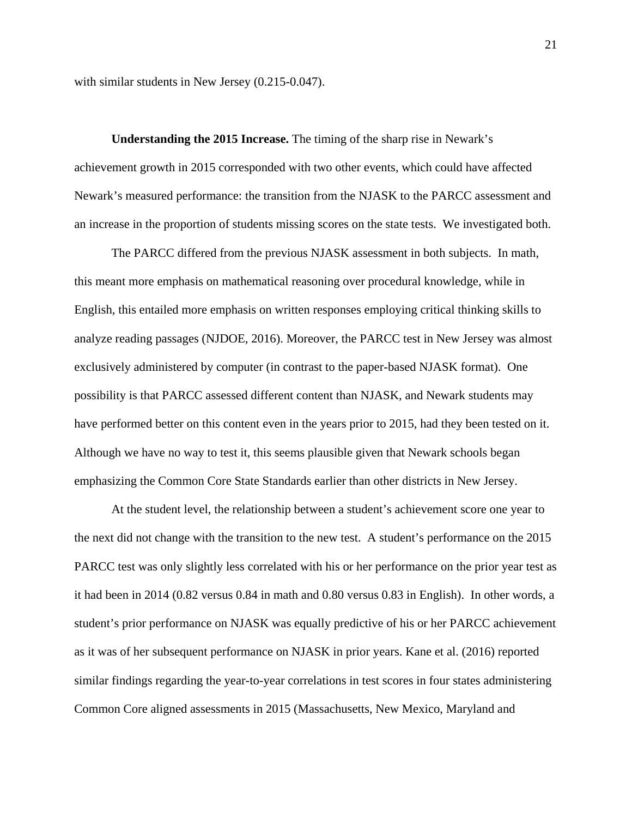with similar students in New Jersey  $(0.215-0.047)$ .

**Understanding the 2015 Increase.** The timing of the sharp rise in Newark's achievement growth in 2015 corresponded with two other events, which could have affected Newark's measured performance: the transition from the NJASK to the PARCC assessment and an increase in the proportion of students missing scores on the state tests. We investigated both.

The PARCC differed from the previous NJASK assessment in both subjects. In math, this meant more emphasis on mathematical reasoning over procedural knowledge, while in English, this entailed more emphasis on written responses employing critical thinking skills to analyze reading passages (NJDOE, 2016). Moreover, the PARCC test in New Jersey was almost exclusively administered by computer (in contrast to the paper-based NJASK format). One possibility is that PARCC assessed different content than NJASK, and Newark students may have performed better on this content even in the years prior to 2015, had they been tested on it. Although we have no way to test it, this seems plausible given that Newark schools began emphasizing the Common Core State Standards earlier than other districts in New Jersey.

At the student level, the relationship between a student's achievement score one year to the next did not change with the transition to the new test. A student's performance on the 2015 PARCC test was only slightly less correlated with his or her performance on the prior year test as it had been in 2014 (0.82 versus 0.84 in math and 0.80 versus 0.83 in English). In other words, a student's prior performance on NJASK was equally predictive of his or her PARCC achievement as it was of her subsequent performance on NJASK in prior years. Kane et al. (2016) reported similar findings regarding the year-to-year correlations in test scores in four states administering Common Core aligned assessments in 2015 (Massachusetts, New Mexico, Maryland and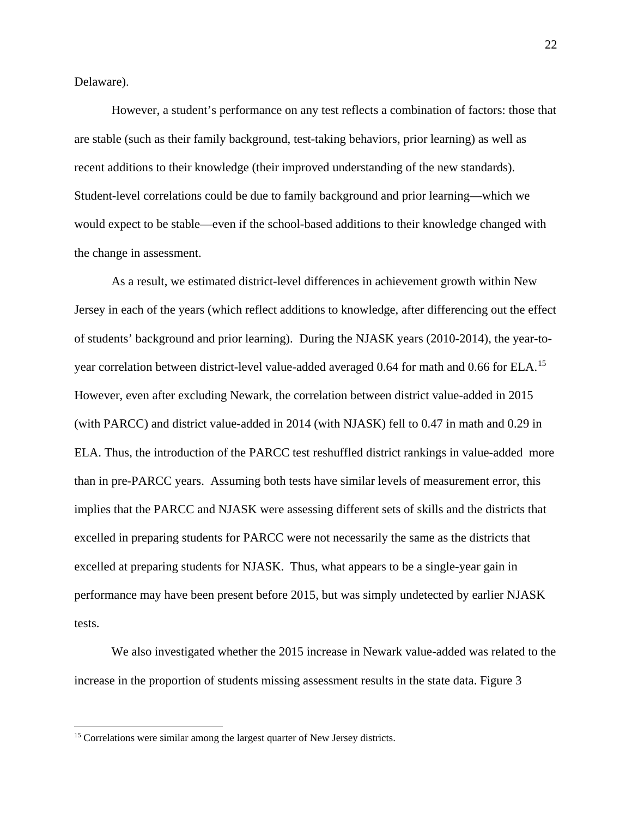Delaware).

However, a student's performance on any test reflects a combination of factors: those that are stable (such as their family background, test-taking behaviors, prior learning) as well as recent additions to their knowledge (their improved understanding of the new standards). Student-level correlations could be due to family background and prior learning—which we would expect to be stable—even if the school-based additions to their knowledge changed with the change in assessment.

As a result, we estimated district-level differences in achievement growth within New Jersey in each of the years (which reflect additions to knowledge, after differencing out the effect of students' background and prior learning). During the NJASK years (2010-2014), the year-to-year correlation between district-level value-added averaged 0.64 for math and 0.66 for ELA.<sup>[15](#page-21-0)</sup> However, even after excluding Newark, the correlation between district value-added in 2015 (with PARCC) and district value-added in 2014 (with NJASK) fell to 0.47 in math and 0.29 in ELA. Thus, the introduction of the PARCC test reshuffled district rankings in value-added more than in pre-PARCC years. Assuming both tests have similar levels of measurement error, this implies that the PARCC and NJASK were assessing different sets of skills and the districts that excelled in preparing students for PARCC were not necessarily the same as the districts that excelled at preparing students for NJASK. Thus, what appears to be a single-year gain in performance may have been present before 2015, but was simply undetected by earlier NJASK tests.

We also investigated whether the 2015 increase in Newark value-added was related to the increase in the proportion of students missing assessment results in the state data. Figure 3

<span id="page-21-0"></span><sup>&</sup>lt;sup>15</sup> Correlations were similar among the largest quarter of New Jersey districts.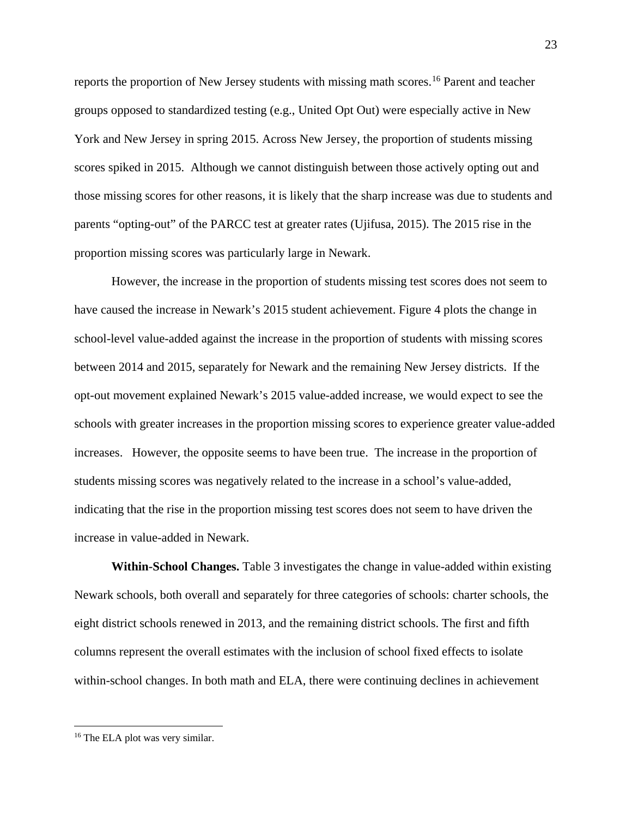reports the proportion of New Jersey students with missing math scores. [16](#page-22-0) Parent and teacher groups opposed to standardized testing (e.g., United Opt Out) were especially active in New York and New Jersey in spring 2015. Across New Jersey, the proportion of students missing scores spiked in 2015. Although we cannot distinguish between those actively opting out and those missing scores for other reasons, it is likely that the sharp increase was due to students and parents "opting-out" of the PARCC test at greater rates (Ujifusa, 2015). The 2015 rise in the proportion missing scores was particularly large in Newark.

However, the increase in the proportion of students missing test scores does not seem to have caused the increase in Newark's 2015 student achievement. Figure 4 plots the change in school-level value-added against the increase in the proportion of students with missing scores between 2014 and 2015, separately for Newark and the remaining New Jersey districts. If the opt-out movement explained Newark's 2015 value-added increase, we would expect to see the schools with greater increases in the proportion missing scores to experience greater value-added increases. However, the opposite seems to have been true. The increase in the proportion of students missing scores was negatively related to the increase in a school's value-added, indicating that the rise in the proportion missing test scores does not seem to have driven the increase in value-added in Newark.

**Within-School Changes.** Table 3 investigates the change in value-added within existing Newark schools, both overall and separately for three categories of schools: charter schools, the eight district schools renewed in 2013, and the remaining district schools. The first and fifth columns represent the overall estimates with the inclusion of school fixed effects to isolate within-school changes. In both math and ELA, there were continuing declines in achievement

<span id="page-22-0"></span><sup>&</sup>lt;sup>16</sup> The ELA plot was very similar.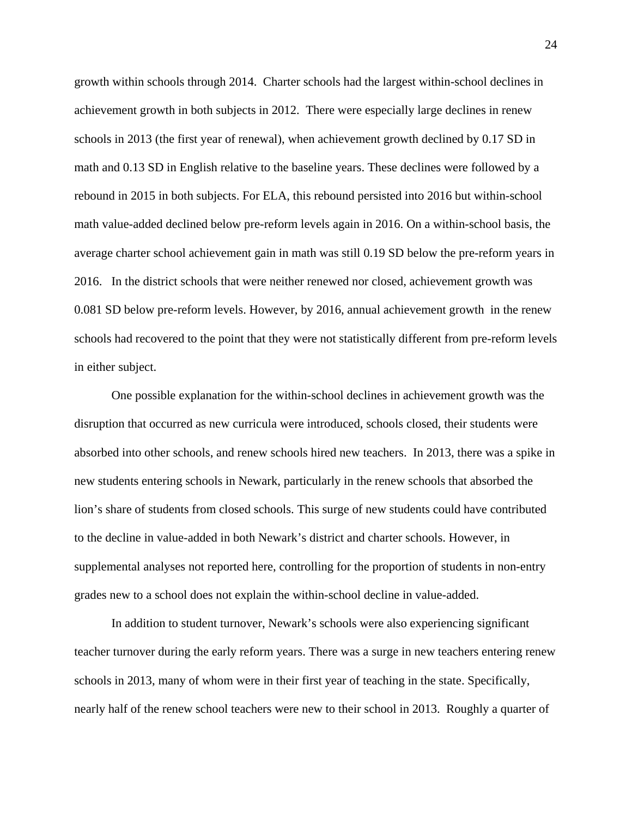growth within schools through 2014. Charter schools had the largest within-school declines in achievement growth in both subjects in 2012. There were especially large declines in renew schools in 2013 (the first year of renewal), when achievement growth declined by 0.17 SD in math and 0.13 SD in English relative to the baseline years. These declines were followed by a rebound in 2015 in both subjects. For ELA, this rebound persisted into 2016 but within-school math value-added declined below pre-reform levels again in 2016. On a within-school basis, the average charter school achievement gain in math was still 0.19 SD below the pre-reform years in 2016. In the district schools that were neither renewed nor closed, achievement growth was 0.081 SD below pre-reform levels. However, by 2016, annual achievement growth in the renew schools had recovered to the point that they were not statistically different from pre-reform levels in either subject.

One possible explanation for the within-school declines in achievement growth was the disruption that occurred as new curricula were introduced, schools closed, their students were absorbed into other schools, and renew schools hired new teachers. In 2013, there was a spike in new students entering schools in Newark, particularly in the renew schools that absorbed the lion's share of students from closed schools. This surge of new students could have contributed to the decline in value-added in both Newark's district and charter schools. However, in supplemental analyses not reported here, controlling for the proportion of students in non-entry grades new to a school does not explain the within-school decline in value-added.

In addition to student turnover, Newark's schools were also experiencing significant teacher turnover during the early reform years. There was a surge in new teachers entering renew schools in 2013, many of whom were in their first year of teaching in the state. Specifically, nearly half of the renew school teachers were new to their school in 2013. Roughly a quarter of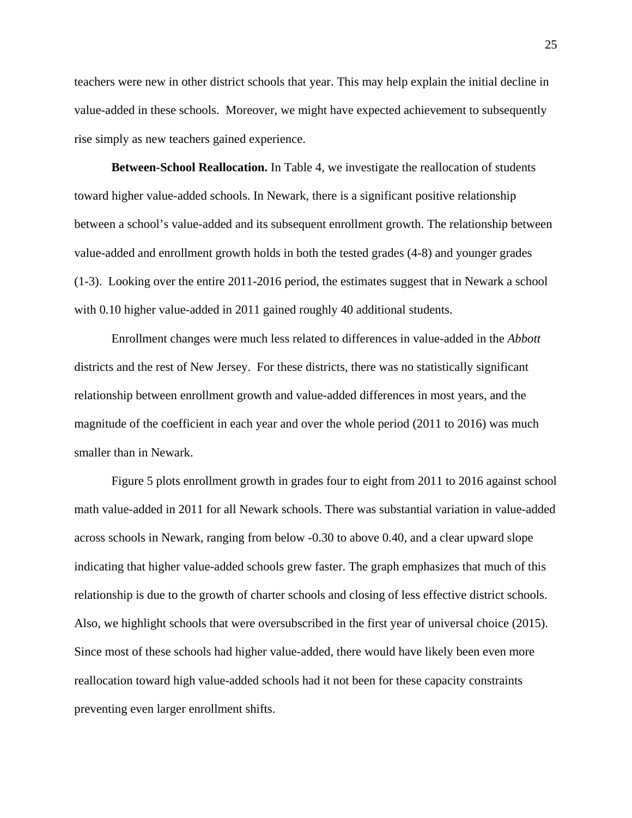teachers were new in other district schools that year. This may help explain the initial decline in value-added in these schools. Moreover, we might have expected achievement to subsequently rise simply as new teachers gained experience.

**Between-School Reallocation.** In Table 4, we investigate the reallocation of students toward higher value-added schools. In Newark, there is a significant positive relationship between a school's value-added and its subsequent enrollment growth. The relationship between value-added and enrollment growth holds in both the tested grades (4-8) and younger grades (1-3). Looking over the entire 2011-2016 period, the estimates suggest that in Newark a school with 0.10 higher value-added in 2011 gained roughly 40 additional students.

Enrollment changes were much less related to differences in value-added in the *Abbott* districts and the rest of New Jersey. For these districts, there was no statistically significant relationship between enrollment growth and value-added differences in most years, and the magnitude of the coefficient in each year and over the whole period (2011 to 2016) was much smaller than in Newark.

Figure 5 plots enrollment growth in grades four to eight from 2011 to 2016 against school math value-added in 2011 for all Newark schools. There was substantial variation in value-added across schools in Newark, ranging from below -0.30 to above 0.40, and a clear upward slope indicating that higher value-added schools grew faster. The graph emphasizes that much of this relationship is due to the growth of charter schools and closing of less effective district schools. Also, we highlight schools that were oversubscribed in the first year of universal choice (2015). Since most of these schools had higher value-added, there would have likely been even more reallocation toward high value-added schools had it not been for these capacity constraints preventing even larger enrollment shifts.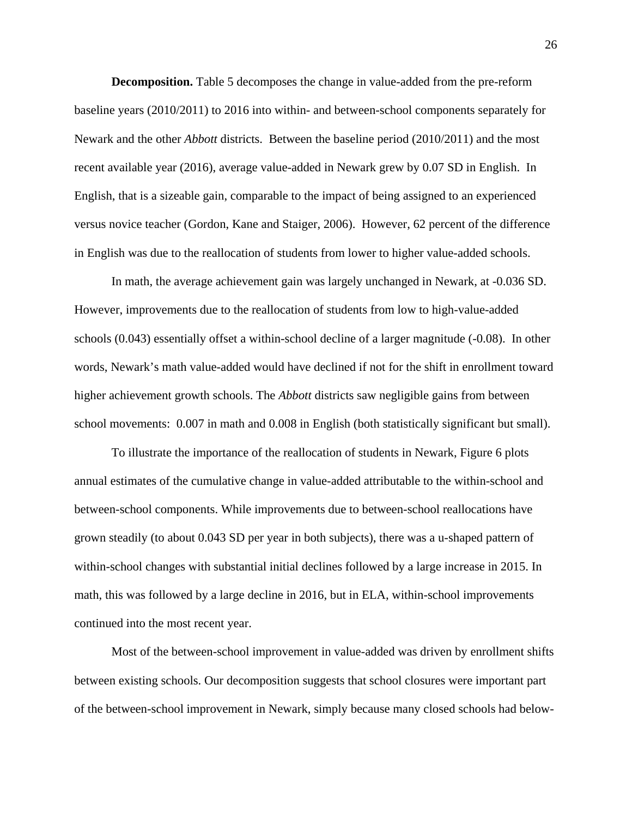**Decomposition.** Table 5 decomposes the change in value-added from the pre-reform baseline years (2010/2011) to 2016 into within- and between-school components separately for Newark and the other *Abbott* districts. Between the baseline period (2010/2011) and the most recent available year (2016), average value-added in Newark grew by 0.07 SD in English. In English, that is a sizeable gain, comparable to the impact of being assigned to an experienced versus novice teacher (Gordon, Kane and Staiger, 2006). However, 62 percent of the difference in English was due to the reallocation of students from lower to higher value-added schools.

 In math, the average achievement gain was largely unchanged in Newark, at -0.036 SD. However, improvements due to the reallocation of students from low to high-value-added schools (0.043) essentially offset a within-school decline of a larger magnitude (-0.08). In other words, Newark's math value-added would have declined if not for the shift in enrollment toward higher achievement growth schools. The *Abbott* districts saw negligible gains from between school movements: 0.007 in math and 0.008 in English (both statistically significant but small).

To illustrate the importance of the reallocation of students in Newark, Figure 6 plots annual estimates of the cumulative change in value-added attributable to the within-school and between-school components. While improvements due to between-school reallocations have grown steadily (to about 0.043 SD per year in both subjects), there was a u-shaped pattern of within-school changes with substantial initial declines followed by a large increase in 2015. In math, this was followed by a large decline in 2016, but in ELA, within-school improvements continued into the most recent year.

Most of the between-school improvement in value-added was driven by enrollment shifts between existing schools. Our decomposition suggests that school closures were important part of the between-school improvement in Newark, simply because many closed schools had below-

26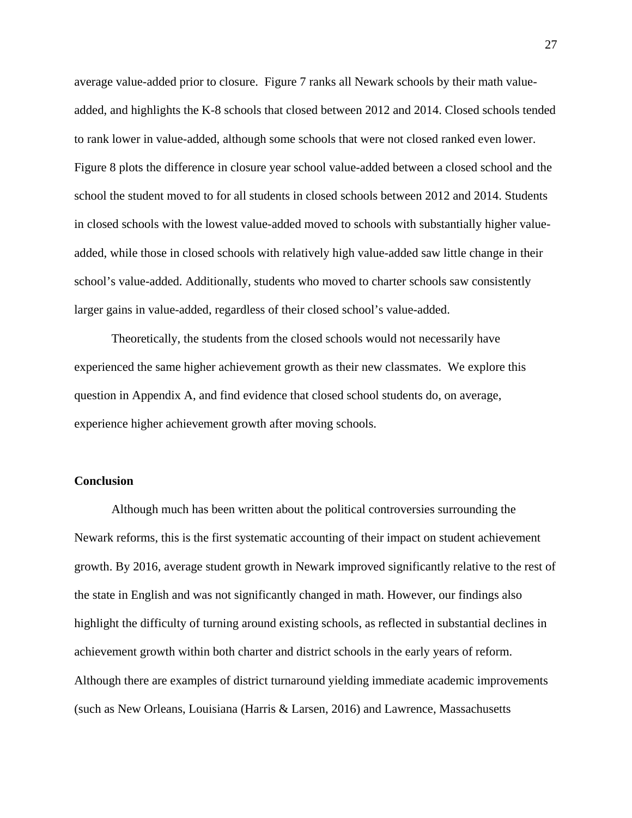average value-added prior to closure. Figure 7 ranks all Newark schools by their math valueadded, and highlights the K-8 schools that closed between 2012 and 2014. Closed schools tended to rank lower in value-added, although some schools that were not closed ranked even lower. Figure 8 plots the difference in closure year school value-added between a closed school and the school the student moved to for all students in closed schools between 2012 and 2014. Students in closed schools with the lowest value-added moved to schools with substantially higher valueadded, while those in closed schools with relatively high value-added saw little change in their school's value-added. Additionally, students who moved to charter schools saw consistently larger gains in value-added, regardless of their closed school's value-added.

 Theoretically, the students from the closed schools would not necessarily have experienced the same higher achievement growth as their new classmates. We explore this question in Appendix A, and find evidence that closed school students do, on average, experience higher achievement growth after moving schools.

### **Conclusion**

Although much has been written about the political controversies surrounding the Newark reforms, this is the first systematic accounting of their impact on student achievement growth. By 2016, average student growth in Newark improved significantly relative to the rest of the state in English and was not significantly changed in math. However, our findings also highlight the difficulty of turning around existing schools, as reflected in substantial declines in achievement growth within both charter and district schools in the early years of reform. Although there are examples of district turnaround yielding immediate academic improvements (such as New Orleans, Louisiana (Harris & Larsen, 2016) and Lawrence, Massachusetts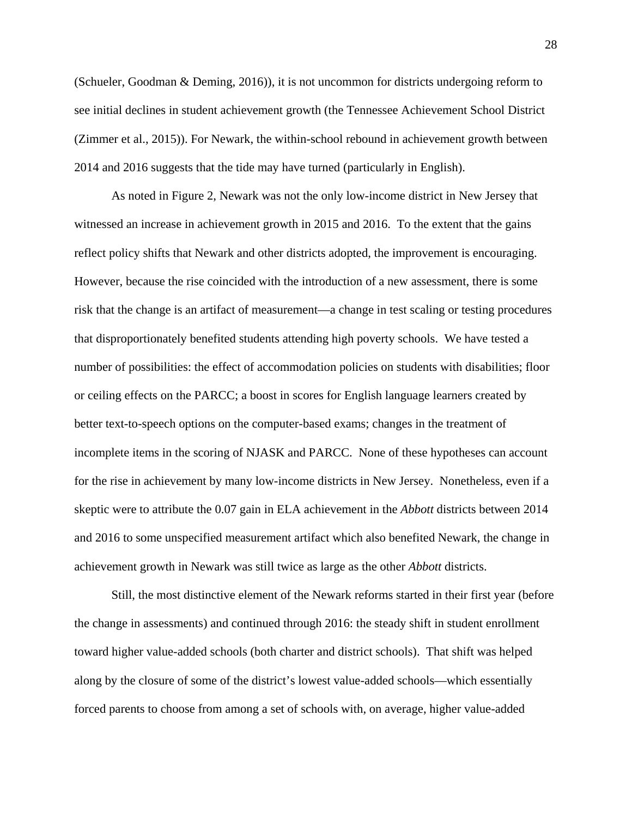(Schueler, Goodman & Deming, 2016)), it is not uncommon for districts undergoing reform to see initial declines in student achievement growth (the Tennessee Achievement School District (Zimmer et al., 2015)). For Newark, the within-school rebound in achievement growth between 2014 and 2016 suggests that the tide may have turned (particularly in English).

As noted in Figure 2, Newark was not the only low-income district in New Jersey that witnessed an increase in achievement growth in 2015 and 2016. To the extent that the gains reflect policy shifts that Newark and other districts adopted, the improvement is encouraging. However, because the rise coincided with the introduction of a new assessment, there is some risk that the change is an artifact of measurement—a change in test scaling or testing procedures that disproportionately benefited students attending high poverty schools. We have tested a number of possibilities: the effect of accommodation policies on students with disabilities; floor or ceiling effects on the PARCC; a boost in scores for English language learners created by better text-to-speech options on the computer-based exams; changes in the treatment of incomplete items in the scoring of NJASK and PARCC. None of these hypotheses can account for the rise in achievement by many low-income districts in New Jersey. Nonetheless, even if a skeptic were to attribute the 0.07 gain in ELA achievement in the *Abbott* districts between 2014 and 2016 to some unspecified measurement artifact which also benefited Newark, the change in achievement growth in Newark was still twice as large as the other *Abbott* districts.

Still, the most distinctive element of the Newark reforms started in their first year (before the change in assessments) and continued through 2016: the steady shift in student enrollment toward higher value-added schools (both charter and district schools). That shift was helped along by the closure of some of the district's lowest value-added schools—which essentially forced parents to choose from among a set of schools with, on average, higher value-added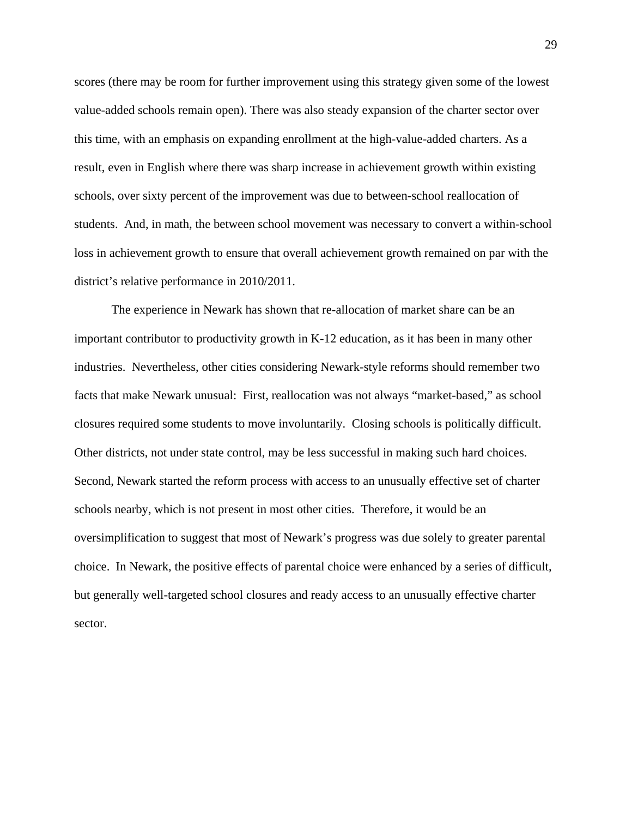scores (there may be room for further improvement using this strategy given some of the lowest value-added schools remain open). There was also steady expansion of the charter sector over this time, with an emphasis on expanding enrollment at the high-value-added charters. As a result, even in English where there was sharp increase in achievement growth within existing schools, over sixty percent of the improvement was due to between-school reallocation of students. And, in math, the between school movement was necessary to convert a within-school loss in achievement growth to ensure that overall achievement growth remained on par with the district's relative performance in 2010/2011.

The experience in Newark has shown that re-allocation of market share can be an important contributor to productivity growth in K-12 education, as it has been in many other industries. Nevertheless, other cities considering Newark-style reforms should remember two facts that make Newark unusual: First, reallocation was not always "market-based," as school closures required some students to move involuntarily. Closing schools is politically difficult. Other districts, not under state control, may be less successful in making such hard choices. Second, Newark started the reform process with access to an unusually effective set of charter schools nearby, which is not present in most other cities. Therefore, it would be an oversimplification to suggest that most of Newark's progress was due solely to greater parental choice. In Newark, the positive effects of parental choice were enhanced by a series of difficult, but generally well-targeted school closures and ready access to an unusually effective charter sector.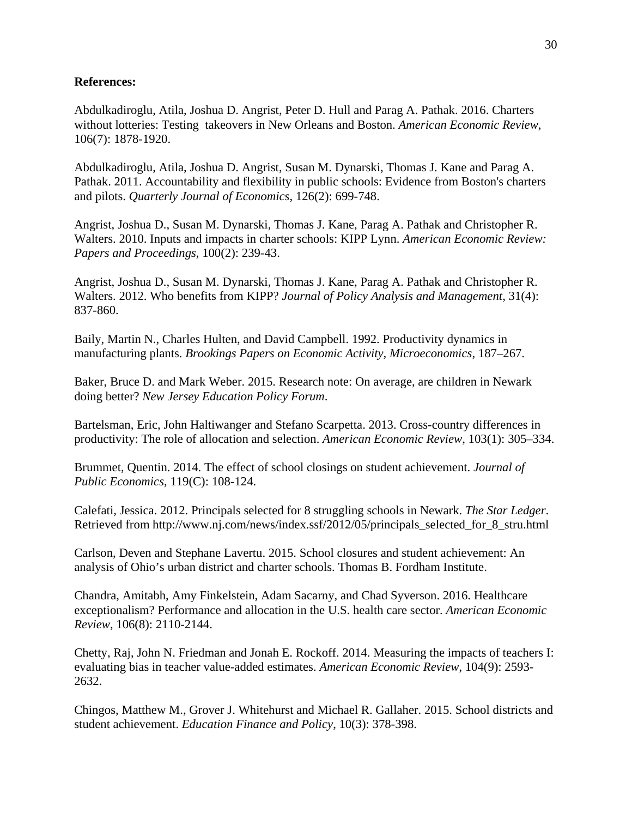# **References:**

Abdulkadiroglu, Atila, Joshua D. Angrist, Peter D. Hull and Parag A. Pathak. 2016. Charters without lotteries: Testing takeovers in New Orleans and Boston. *American Economic Review*, 106(7): 1878-1920.

Abdulkadiroglu, Atila, Joshua D. Angrist, Susan M. Dynarski, Thomas J. Kane and Parag A. Pathak. 2011. Accountability and flexibility in public schools: Evidence from Boston's charters and pilots. *Quarterly Journal of Economics*, 126(2): 699-748.

Angrist, Joshua D., Susan M. Dynarski, Thomas J. Kane, Parag A. Pathak and Christopher R. Walters. 2010. Inputs and impacts in charter schools: KIPP Lynn. *American Economic Review: Papers and Proceedings*, 100(2): 239-43.

Angrist, Joshua D., Susan M. Dynarski, Thomas J. Kane, Parag A. Pathak and Christopher R. Walters. 2012. Who benefits from KIPP? *Journal of Policy Analysis and Management*, 31(4): 837-860.

Baily, Martin N., Charles Hulten, and David Campbell. 1992. Productivity dynamics in manufacturing plants. *Brookings Papers on Economic Activity, Microeconomics*, 187–267.

Baker, Bruce D. and Mark Weber. 2015. Research note: On average, are children in Newark doing better? *New Jersey Education Policy Forum*.

Bartelsman, Eric, John Haltiwanger and Stefano Scarpetta. 2013. Cross-country differences in productivity: The role of allocation and selection. *American Economic Review,* 103(1): 305–334.

Brummet, Quentin. 2014. The effect of school closings on student achievement. *Journal of Public Economics*, 119(C): 108-124.

Calefati, Jessica. 2012. Principals selected for 8 struggling schools in Newark. *The Star Ledger*. Retrieved from http://www.nj.com/news/index.ssf/2012/05/principals\_selected\_for\_8\_stru.html

Carlson, Deven and Stephane Lavertu. 2015. School closures and student achievement: An analysis of Ohio's urban district and charter schools. Thomas B. Fordham Institute.

Chandra, Amitabh, Amy Finkelstein, Adam Sacarny, and Chad Syverson. 2016. Healthcare exceptionalism? Performance and allocation in the U.S. health care sector. *American Economic Review*, 106(8): 2110-2144.

Chetty, Raj, John N. Friedman and Jonah E. Rockoff. 2014. Measuring the impacts of teachers I: evaluating bias in teacher value-added estimates. *American Economic Review*, 104(9): 2593- 2632.

Chingos, Matthew M., Grover J. Whitehurst and Michael R. Gallaher. 2015. School districts and student achievement. *Education Finance and Policy*, 10(3): 378-398.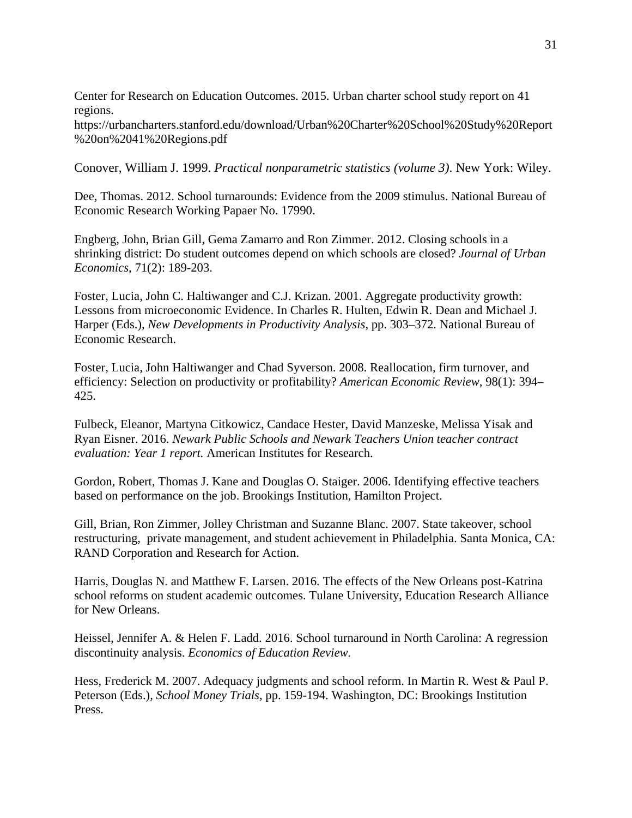Center for Research on Education Outcomes. 2015. Urban charter school study report on 41 regions.

https://urbancharters.stanford.edu/download/Urban%20Charter%20School%20Study%20Report %20on%2041%20Regions.pdf

Conover, William J. 1999. *Practical nonparametric statistics (volume 3)*. New York: Wiley.

Dee, Thomas. 2012. School turnarounds: Evidence from the 2009 stimulus. National Bureau of Economic Research Working Papaer No. 17990.

Engberg, John, Brian Gill, Gema Zamarro and Ron Zimmer. 2012. Closing schools in a shrinking district: Do student outcomes depend on which schools are closed? *Journal of Urban Economics*, 71(2): 189-203.

Foster, Lucia, John C. Haltiwanger and C.J. Krizan. 2001. Aggregate productivity growth: Lessons from microeconomic Evidence. In Charles R. Hulten, Edwin R. Dean and Michael J. Harper (Eds.), *New Developments in Productivity Analysis*, pp. 303–372. National Bureau of Economic Research.

Foster, Lucia, John Haltiwanger and Chad Syverson. 2008. Reallocation, firm turnover, and efficiency: Selection on productivity or profitability? *American Economic Review*, 98(1): 394– 425.

Fulbeck, Eleanor, Martyna Citkowicz, Candace Hester, David Manzeske, Melissa Yisak and Ryan Eisner. 2016. *Newark Public Schools and Newark Teachers Union teacher contract evaluation: Year 1 report.* American Institutes for Research.

Gordon, Robert, Thomas J. Kane and Douglas O. Staiger. 2006. Identifying effective teachers based on performance on the job. Brookings Institution, Hamilton Project.

Gill, Brian, Ron Zimmer, Jolley Christman and Suzanne Blanc. 2007. State takeover, school restructuring, private management, and student achievement in Philadelphia. Santa Monica, CA: RAND Corporation and Research for Action.

Harris, Douglas N. and Matthew F. Larsen. 2016. The effects of the New Orleans post-Katrina school reforms on student academic outcomes. Tulane University, Education Research Alliance for New Orleans.

Heissel, Jennifer A. & Helen F. Ladd. 2016. School turnaround in North Carolina: A regression discontinuity analysis. *Economics of Education Review.* 

Hess, Frederick M. 2007. Adequacy judgments and school reform. In Martin R. West & Paul P. Peterson (Eds.), *School Money Trials*, pp. 159-194. Washington, DC: Brookings Institution Press.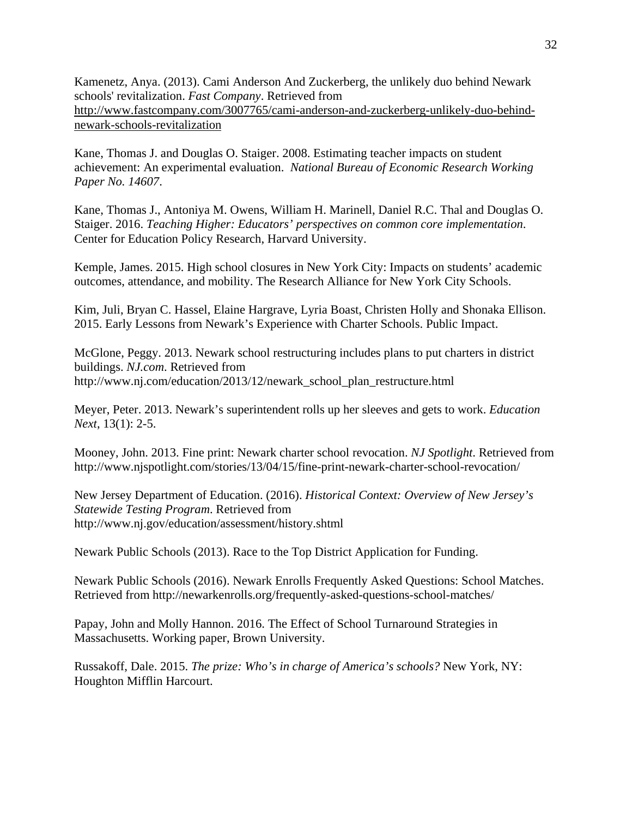Kamenetz, Anya. (2013). Cami Anderson And Zuckerberg, the unlikely duo behind Newark schools' revitalization. *Fast Company*. Retrieved from [http://www.fastcompany.com/3007765/cami-anderson-and-zuckerberg-unlikely-duo-behind](http://www.fastcompany.com/3007765/cami-anderson-and-zuckerberg-unlikely-duo-behind-newark-schools-revitalization)[newark-schools-revitalization](http://www.fastcompany.com/3007765/cami-anderson-and-zuckerberg-unlikely-duo-behind-newark-schools-revitalization)

Kane, Thomas J. and Douglas O. Staiger. 2008. Estimating teacher impacts on student achievement: An experimental evaluation. *National Bureau of Economic Research Working Paper No. 14607*.

Kane, Thomas J., Antoniya M. Owens, William H. Marinell, Daniel R.C. Thal and Douglas O. Staiger. 2016. *Teaching Higher: Educators' perspectives on common core implementation*. Center for Education Policy Research, Harvard University.

Kemple, James. 2015. High school closures in New York City: Impacts on students' academic outcomes, attendance, and mobility. The Research Alliance for New York City Schools.

Kim, Juli, Bryan C. Hassel, Elaine Hargrave, Lyria Boast, Christen Holly and Shonaka Ellison. 2015. Early Lessons from Newark's Experience with Charter Schools. Public Impact.

McGlone, Peggy. 2013. Newark school restructuring includes plans to put charters in district buildings. *NJ.com*. Retrieved from http://www.nj.com/education/2013/12/newark\_school\_plan\_restructure.html

Meyer, Peter. 2013. Newark's superintendent rolls up her sleeves and gets to work. *Education Next*, 13(1): 2-5.

Mooney, John. 2013. Fine print: Newark charter school revocation. *NJ Spotlight*. Retrieved from http://www.njspotlight.com/stories/13/04/15/fine-print-newark-charter-school-revocation/

New Jersey Department of Education. (2016). *Historical Context: Overview of New Jersey's Statewide Testing Program*. Retrieved from http://www.nj.gov/education/assessment/history.shtml

Newark Public Schools (2013). Race to the Top District Application for Funding.

Newark Public Schools (2016). Newark Enrolls Frequently Asked Questions: School Matches. Retrieved from http://newarkenrolls.org/frequently-asked-questions-school-matches/

Papay, John and Molly Hannon. 2016. The Effect of School Turnaround Strategies in Massachusetts. Working paper, Brown University.

Russakoff, Dale. 2015. *The prize: Who's in charge of America's schools?* New York, NY: Houghton Mifflin Harcourt.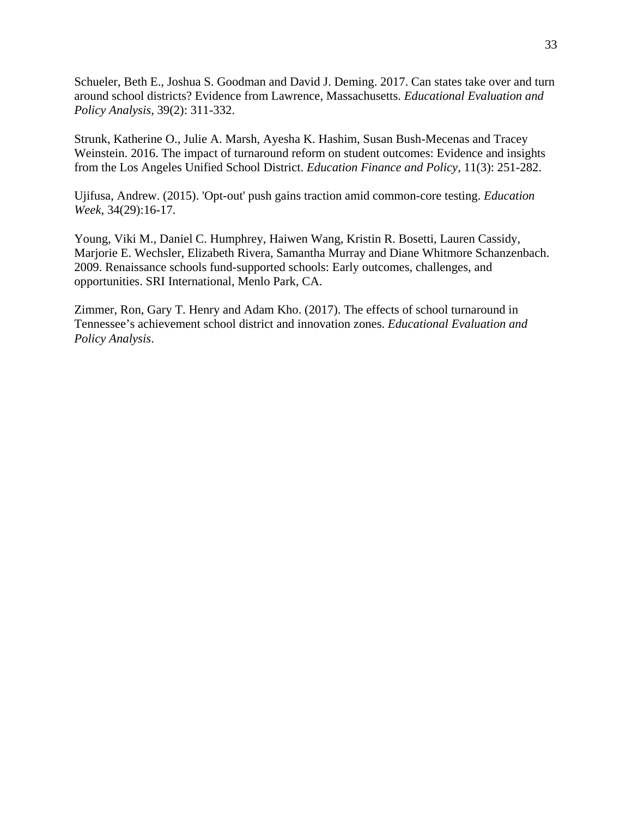Schueler, Beth E., Joshua S. Goodman and David J. Deming. 2017. Can states take over and turn around school districts? Evidence from Lawrence, Massachusetts. *Educational Evaluation and Policy Analysis*, 39(2): 311-332.

Strunk, Katherine O., Julie A. Marsh, Ayesha K. Hashim, Susan Bush-Mecenas and Tracey Weinstein. 2016. The impact of turnaround reform on student outcomes: Evidence and insights from the Los Angeles Unified School District. *Education Finance and Policy*, 11(3): 251-282.

Ujifusa, Andrew. (2015). 'Opt-out' push gains traction amid common-core testing. *Education Week*, 34(29):16-17.

Young, Viki M., Daniel C. Humphrey, Haiwen Wang, Kristin R. Bosetti, Lauren Cassidy, Marjorie E. Wechsler, Elizabeth Rivera, Samantha Murray and Diane Whitmore Schanzenbach. 2009. Renaissance schools fund-supported schools: Early outcomes, challenges, and opportunities. SRI International, Menlo Park, CA.

Zimmer, Ron, Gary T. Henry and Adam Kho. (2017). The effects of school turnaround in Tennessee's achievement school district and innovation zones. *Educational Evaluation and Policy Analysis*.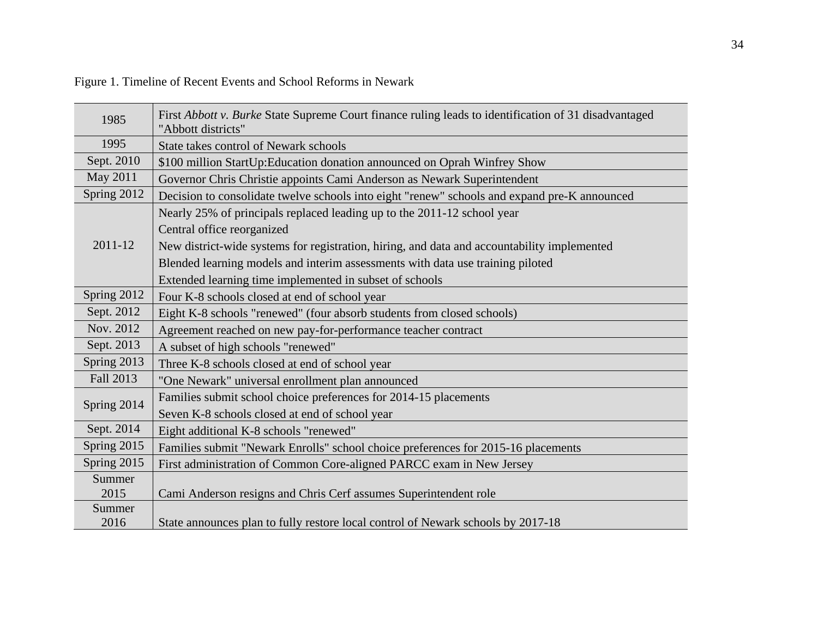| 1985        | First Abbott v. Burke State Supreme Court finance ruling leads to identification of 31 disadvantaged<br>"Abbott districts" |
|-------------|----------------------------------------------------------------------------------------------------------------------------|
| 1995        | State takes control of Newark schools                                                                                      |
| Sept. 2010  | \$100 million StartUp: Education donation announced on Oprah Winfrey Show                                                  |
| May 2011    | Governor Chris Christie appoints Cami Anderson as Newark Superintendent                                                    |
| Spring 2012 | Decision to consolidate twelve schools into eight "renew" schools and expand pre-K announced                               |
|             | Nearly 25% of principals replaced leading up to the 2011-12 school year                                                    |
|             | Central office reorganized                                                                                                 |
| 2011-12     | New district-wide systems for registration, hiring, and data and accountability implemented                                |
|             | Blended learning models and interim assessments with data use training piloted                                             |
|             | Extended learning time implemented in subset of schools                                                                    |
| Spring 2012 | Four K-8 schools closed at end of school year                                                                              |
| Sept. 2012  | Eight K-8 schools "renewed" (four absorb students from closed schools)                                                     |
| Nov. 2012   | Agreement reached on new pay-for-performance teacher contract                                                              |
| Sept. 2013  | A subset of high schools "renewed"                                                                                         |
| Spring 2013 | Three K-8 schools closed at end of school year                                                                             |
| Fall 2013   | "One Newark" universal enrollment plan announced                                                                           |

Figure 1. Timeline of Recent Events and School Reforms in Newark

2016 State announces plan to fully restore local control of Newark schools by 2017-18

Spring 2015 | Families submit "Newark Enrolls" school choice preferences for 2015-16 placements

Spring 2015 First administration of Common Core-aligned PARCC exam in New Jersey

2015 Cami Anderson resigns and Chris Cerf assumes Superintendent role

Spring 2014  $\Big|$  Families submit school choice preferences for 2014-15 placements Seven K-8 schools closed at end of school year

Sept. 2014 | Eight additional K-8 schools "renewed"

**Summer** 

Summer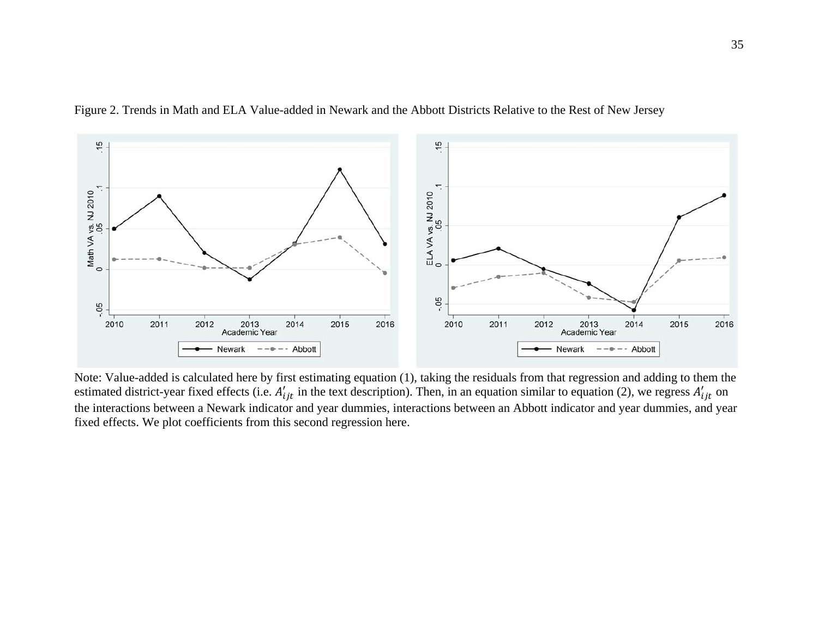

Figure 2. Trends in Math and ELA Value-added in Newark and the Abbott Districts Relative to the Rest of New Jersey

 Note: Value-added is calculated here by first estimating equation (1), taking the residuals from that regression and adding to them the estimated district-year fixed effects (i.e.  $A'_{ijt}$  in the text description). Then, in an equation similar to equation (2), we regress  $A'_{ijt}$  on the interactions between a Newark indicator and year dummies, interactions between an Abbott indicator and year dummies, and year fixed effects. We plot coefficients from this second regression here.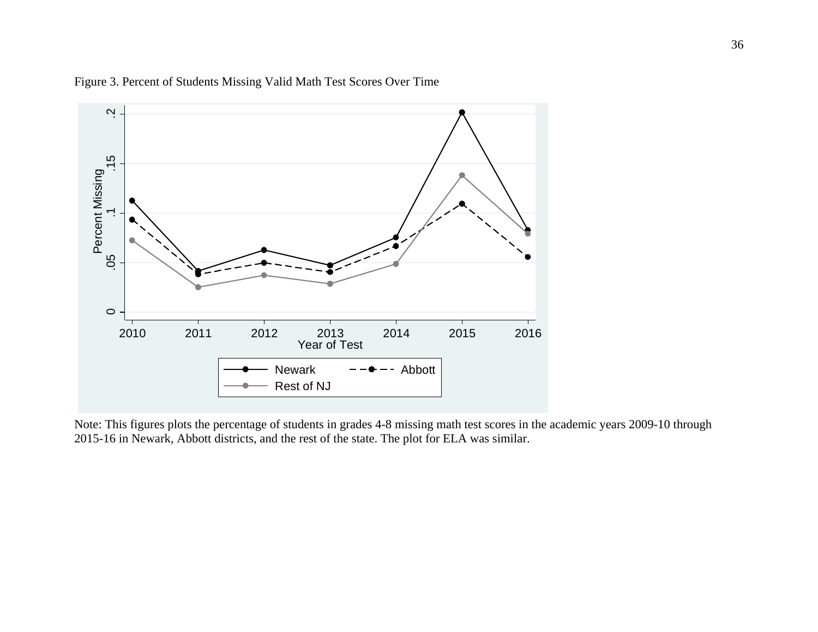



Note: This figures plots the percentage of students in grades 4-8 missing math test scores in the academic years 2009-10 through 2015-16 in Newark, Abbott districts, and the rest of the state. The plot for ELA was similar.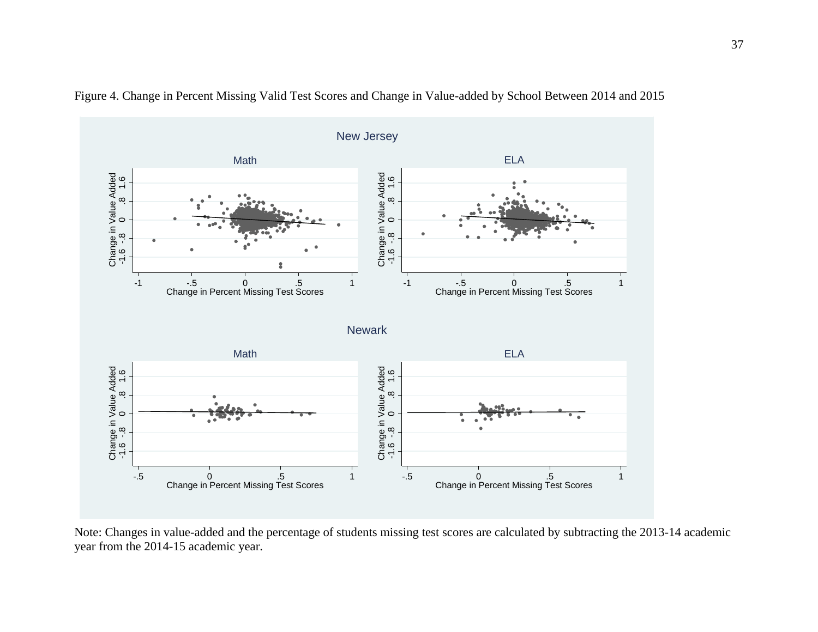

Figure 4. Change in Percent Missing Valid Test Scores and Change in Value-added by School Between 2014 and 2015

Note: Changes in value-added and the percentage of students missing test scores are calculated by subtracting the 2013-14 academic year from the 2014-15 academic year.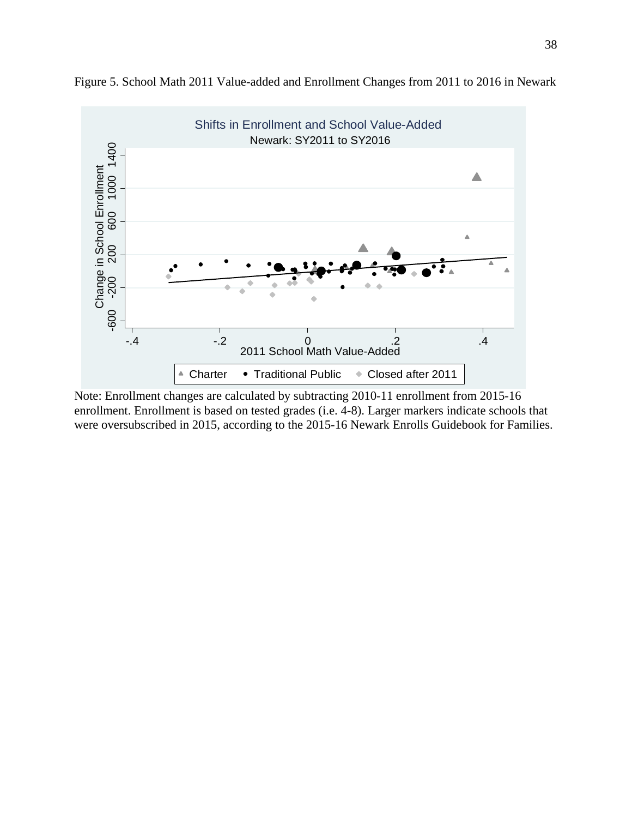

Figure 5. School Math 2011 Value-added and Enrollment Changes from 2011 to 2016 in Newark

Note: Enrollment changes are calculated by subtracting 2010-11 enrollment from 2015-16 enrollment. Enrollment is based on tested grades (i.e. 4-8). Larger markers indicate schools that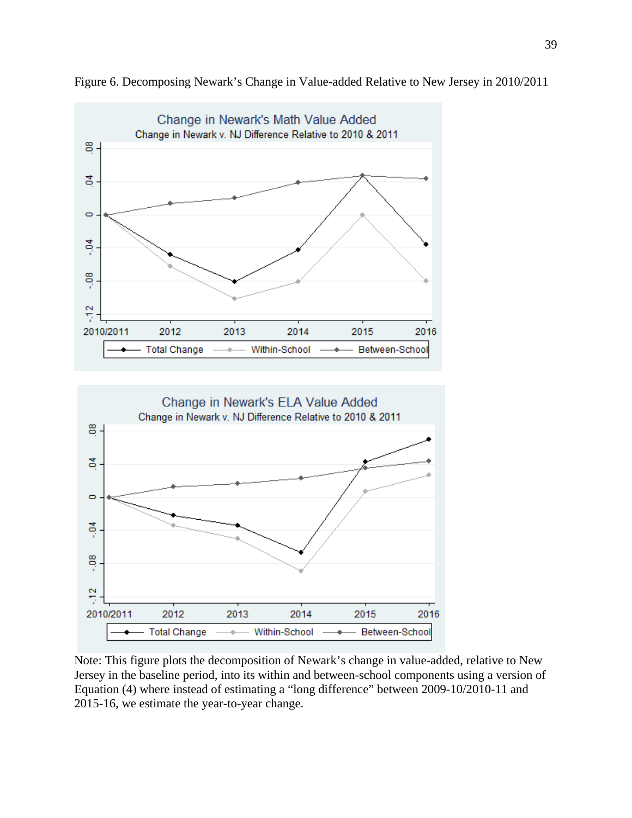

Figure 6. Decomposing Newark's Change in Value-added Relative to New Jersey in 2010/2011



Note: This figure plots the decomposition of Newark's change in value-added, relative to New Jersey in the baseline period, into its within and between-school components using a version of Equation (4) where instead of estimating a "long difference" between 2009-10/2010-11 and 2015-16, we estimate the year-to-year change.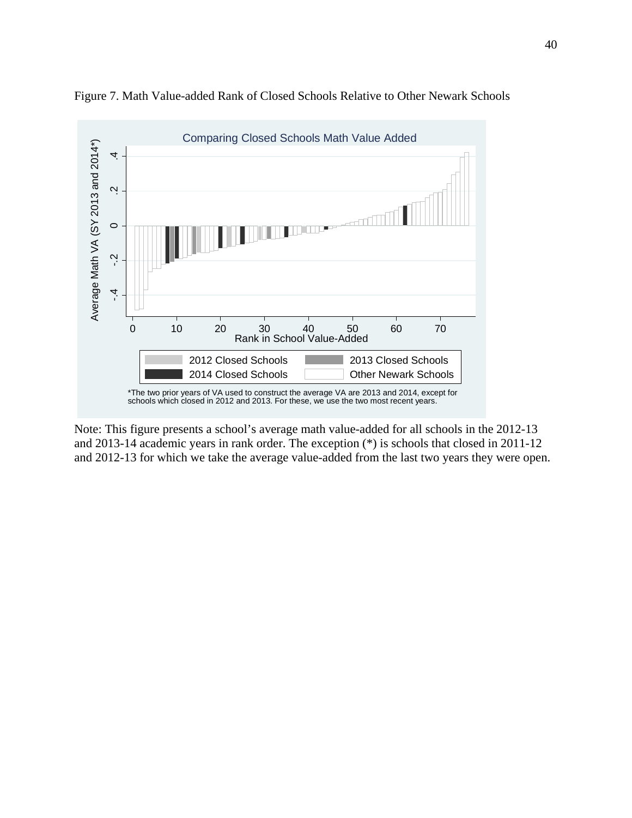

Figure 7. Math Value-added Rank of Closed Schools Relative to Other Newark Schools

Note: This figure presents a school's average math value-added for all schools in the 2012-13 and 2013-14 academic years in rank order. The exception (\*) is schools that closed in 2011-12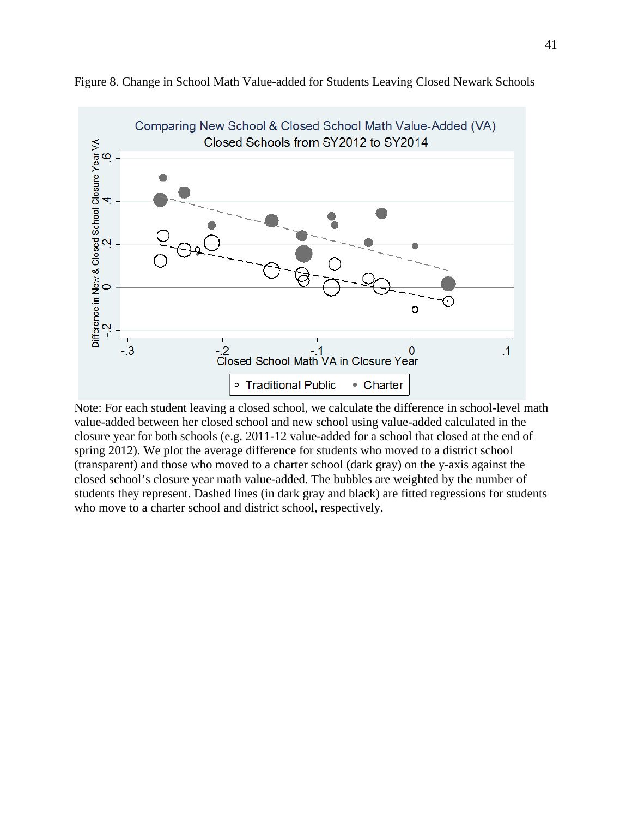

Figure 8. Change in School Math Value-added for Students Leaving Closed Newark Schools

Note: For each student leaving a closed school, we calculate the difference in school-level math value-added between her closed school and new school using value-added calculated in the closure year for both schools (e.g. 2011-12 value-added for a school that closed at the end of spring 2012). We plot the average difference for students who moved to a district school (transparent) and those who moved to a charter school (dark gray) on the y-axis against the closed school's closure year math value-added. The bubbles are weighted by the number of students they represent. Dashed lines (in dark gray and black) are fitted regressions for students who move to a charter school and district school, respectively.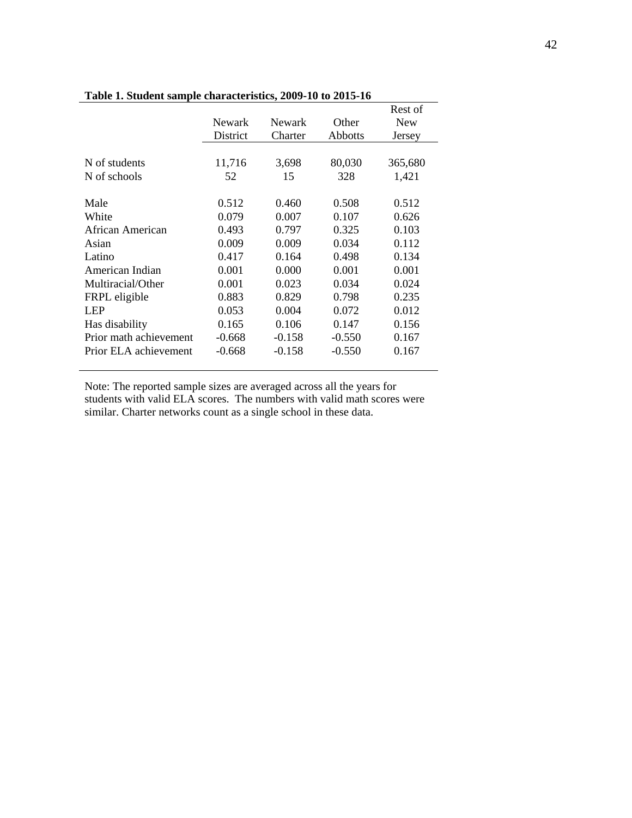|                        |               |               |                | Rest of    |
|------------------------|---------------|---------------|----------------|------------|
|                        | <b>Newark</b> | <b>Newark</b> | Other          | <b>New</b> |
|                        | District      | Charter       | <b>Abbotts</b> | Jersey     |
|                        |               |               |                |            |
| N of students          | 11,716        | 3,698         | 80,030         | 365,680    |
| N of schools           | 52            | 15            | 328            | 1,421      |
|                        |               |               |                |            |
| Male                   | 0.512         | 0.460         | 0.508          | 0.512      |
| White                  | 0.079         | 0.007         | 0.107          | 0.626      |
| African American       | 0.493         | 0.797         | 0.325          | 0.103      |
| Asian                  | 0.009         | 0.009         | 0.034          | 0.112      |
| Latino                 | 0.417         | 0.164         | 0.498          | 0.134      |
| American Indian        | 0.001         | 0.000         | 0.001          | 0.001      |
| Multiracial/Other      | 0.001         | 0.023         | 0.034          | 0.024      |
| FRPL eligible          | 0.883         | 0.829         | 0.798          | 0.235      |
| <b>LEP</b>             | 0.053         | 0.004         | 0.072          | 0.012      |
| Has disability         | 0.165         | 0.106         | 0.147          | 0.156      |
| Prior math achievement | $-0.668$      | $-0.158$      | $-0.550$       | 0.167      |
| Prior ELA achievement  | $-0.668$      | $-0.158$      | $-0.550$       | 0.167      |
|                        |               |               |                |            |

# **Table 1. Student sample characteristics, 2009-10 to 2015-16**

Note: The reported sample sizes are averaged across all the years for students with valid ELA scores. The numbers with valid math scores were similar. Charter networks count as a single school in these data.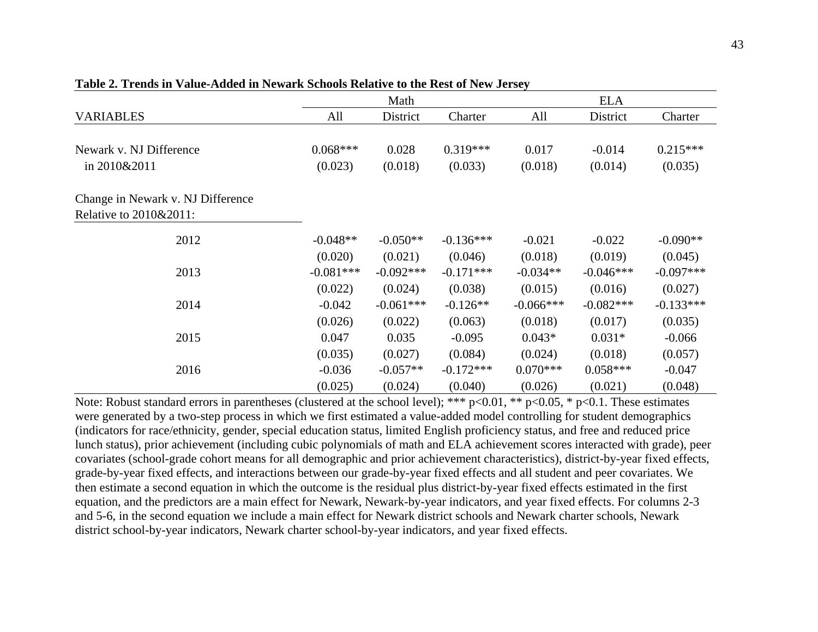|                                   |             | Math         |             |             | <b>ELA</b>  |             |
|-----------------------------------|-------------|--------------|-------------|-------------|-------------|-------------|
| <b>VARIABLES</b>                  | All         | District     | Charter     | All         | District    | Charter     |
|                                   |             |              |             |             |             |             |
| Newark v. NJ Difference           | $0.068***$  | 0.028        | $0.319***$  | 0.017       | $-0.014$    | $0.215***$  |
| in 2010&2011                      | (0.023)     | (0.018)      | (0.033)     | (0.018)     | (0.014)     | (0.035)     |
| Change in Newark v. NJ Difference |             |              |             |             |             |             |
| Relative to 2010&2011:            |             |              |             |             |             |             |
| 2012                              | $-0.048**$  | $-0.050**$   | $-0.136***$ | $-0.021$    | $-0.022$    | $-0.090**$  |
|                                   | (0.020)     | (0.021)      | (0.046)     | (0.018)     | (0.019)     | (0.045)     |
| 2013                              | $-0.081***$ | $-0.092$ *** | $-0.171***$ | $-0.034**$  | $-0.046***$ | $-0.097***$ |
|                                   | (0.022)     | (0.024)      | (0.038)     | (0.015)     | (0.016)     | (0.027)     |
| 2014                              | $-0.042$    | $-0.061***$  | $-0.126**$  | $-0.066***$ | $-0.082***$ | $-0.133***$ |
|                                   | (0.026)     | (0.022)      | (0.063)     | (0.018)     | (0.017)     | (0.035)     |
| 2015                              | 0.047       | 0.035        | $-0.095$    | $0.043*$    | $0.031*$    | $-0.066$    |
|                                   | (0.035)     | (0.027)      | (0.084)     | (0.024)     | (0.018)     | (0.057)     |
| 2016                              | $-0.036$    | $-0.057**$   | $-0.172***$ | $0.070***$  | $0.058***$  | $-0.047$    |
|                                   | (0.025)     | (0.024)      | (0.040)     | (0.026)     | (0.021)     | (0.048)     |

|  |  |  |  | Table 2. Trends in Value-Added in Newark Schools Relative to the Rest of New Jersey |  |  |
|--|--|--|--|-------------------------------------------------------------------------------------|--|--|
|--|--|--|--|-------------------------------------------------------------------------------------|--|--|

Note: Robust standard errors in parentheses (clustered at the school level); \*\*\* p<0.01, \*\* p<0.05, \* p<0.1. These estimates were generated by a two-step process in which we first estimated a value-added model controlling for student demographics (indicators for race/ethnicity, gender, special education status, limited English proficiency status, and free and reduced price lunch status), prior achievement (including cubic polynomials of math and ELA achievement scores interacted with grade), peer covariates (school-grade cohort means for all demographic and prior achievement characteristics), district-by-year fixed effects, grade-by-year fixed effects, and interactions between our grade-by-year fixed effects and all student and peer covariates. We then estimate a second equation in which the outcome is the residual plus district-by-year fixed effects estimated in the first equation, and the predictors are a main effect for Newark, Newark-by-year indicators, and year fixed effects. For columns 2-3 and 5-6, in the second equation we include a main effect for Newark district schools and Newark charter schools, Newark district school-by-year indicators, Newark charter school-by-year indicators, and year fixed effects.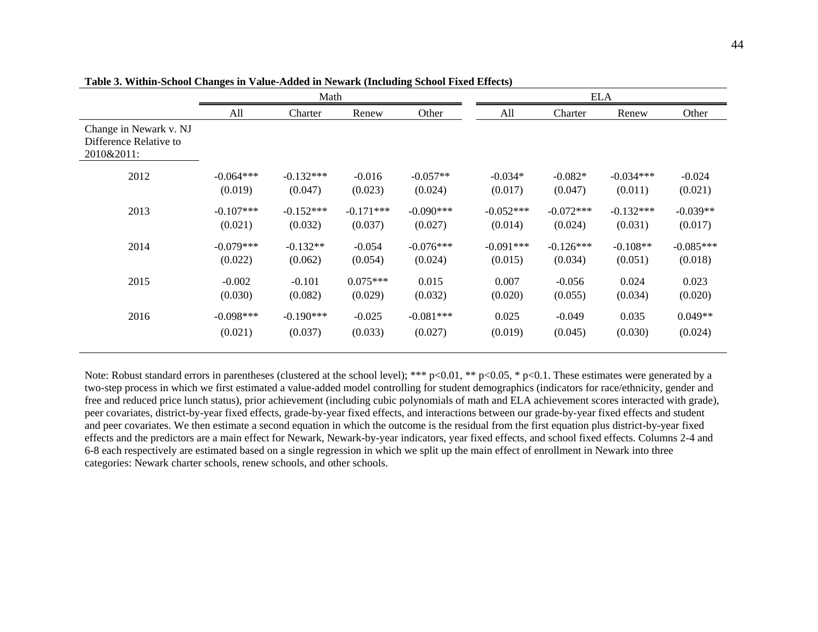|                                                                |             | Math        |             |             |             |             | <b>ELA</b>  |             |
|----------------------------------------------------------------|-------------|-------------|-------------|-------------|-------------|-------------|-------------|-------------|
|                                                                | All         | Charter     | Renew       | Other       | All         | Charter     | Renew       | Other       |
| Change in Newark v. NJ<br>Difference Relative to<br>2010&2011: |             |             |             |             |             |             |             |             |
| 2012                                                           | $-0.064***$ | $-0.132***$ | $-0.016$    | $-0.057**$  | $-0.034*$   | $-0.082*$   | $-0.034***$ | $-0.024$    |
|                                                                | (0.019)     | (0.047)     | (0.023)     | (0.024)     | (0.017)     | (0.047)     | (0.011)     | (0.021)     |
| 2013                                                           | $-0.107***$ | $-0.152***$ | $-0.171***$ | $-0.090***$ | $-0.052***$ | $-0.072***$ | $-0.132***$ | $-0.039**$  |
|                                                                | (0.021)     | (0.032)     | (0.037)     | (0.027)     | (0.014)     | (0.024)     | (0.031)     | (0.017)     |
| 2014                                                           | $-0.079***$ | $-0.132**$  | $-0.054$    | $-0.076***$ | $-0.091***$ | $-0.126***$ | $-0.108**$  | $-0.085***$ |
|                                                                | (0.022)     | (0.062)     | (0.054)     | (0.024)     | (0.015)     | (0.034)     | (0.051)     | (0.018)     |
| 2015                                                           | $-0.002$    | $-0.101$    | $0.075***$  | 0.015       | 0.007       | $-0.056$    | 0.024       | 0.023       |
|                                                                | (0.030)     | (0.082)     | (0.029)     | (0.032)     | (0.020)     | (0.055)     | (0.034)     | (0.020)     |
| 2016                                                           | $-0.098***$ | $-0.190***$ | $-0.025$    | $-0.081***$ | 0.025       | $-0.049$    | 0.035       | $0.049**$   |
|                                                                | (0.021)     | (0.037)     | (0.033)     | (0.027)     | (0.019)     | (0.045)     | (0.030)     | (0.024)     |

**Table 3. Within-School Changes in Value-Added in Newark (Including School Fixed Effects)**

Note: Robust standard errors in parentheses (clustered at the school level); \*\*\* p<0.01, \*\* p<0.05, \* p<0.1. These estimates were generated by a two-step process in which we first estimated a value-added model controlling for student demographics (indicators for race/ethnicity, gender and free and reduced price lunch status), prior achievement (including cubic polynomials of math and ELA achievement scores interacted with grade), peer covariates, district-by-year fixed effects, grade-by-year fixed effects, and interactions between our grade-by-year fixed effects and student and peer covariates. We then estimate a second equation in which the outcome is the residual from the first equation plus district-by-year fixed effects and the predictors are a main effect for Newark, Newark-by-year indicators, year fixed effects, and school fixed effects. Columns 2-4 and 6-8 each respectively are estimated based on a single regression in which we split up the main effect of enrollment in Newark into three categories: Newark charter schools, renew schools, and other schools.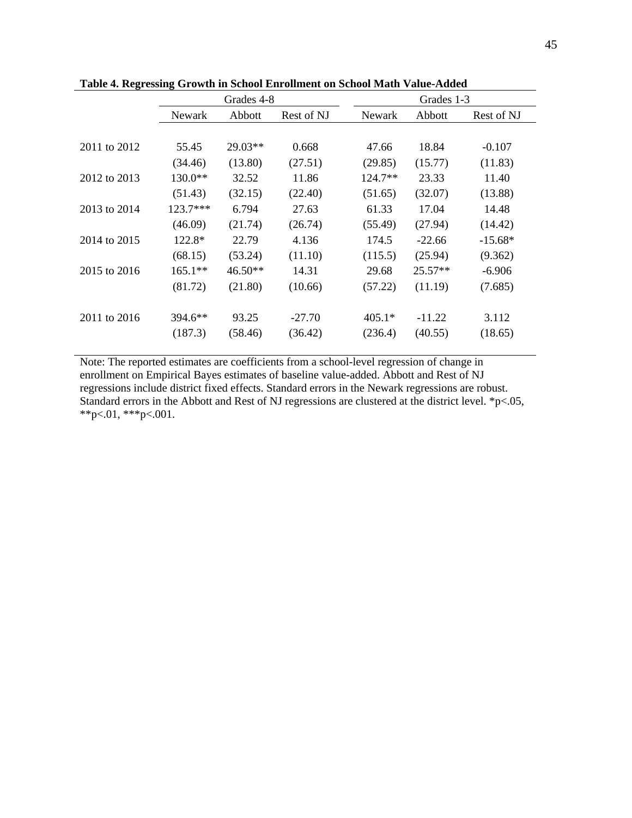|              | Grades 4-8 |           |            | Grades 1-3 |           |            |
|--------------|------------|-----------|------------|------------|-----------|------------|
|              | Newark     | Abbott    | Rest of NJ | Newark     | Abbott    | Rest of NJ |
|              |            |           |            |            |           |            |
| 2011 to 2012 | 55.45      | $29.03**$ | 0.668      | 47.66      | 18.84     | $-0.107$   |
|              | (34.46)    | (13.80)   | (27.51)    | (29.85)    | (15.77)   | (11.83)    |
| 2012 to 2013 | $130.0**$  | 32.52     | 11.86      | $124.7**$  | 23.33     | 11.40      |
|              | (51.43)    | (32.15)   | (22.40)    | (51.65)    | (32.07)   | (13.88)    |
| 2013 to 2014 | $123.7***$ | 6.794     | 27.63      | 61.33      | 17.04     | 14.48      |
|              | (46.09)    | (21.74)   | (26.74)    | (55.49)    | (27.94)   | (14.42)    |
| 2014 to 2015 | $122.8*$   | 22.79     | 4.136      | 174.5      | $-22.66$  | $-15.68*$  |
|              | (68.15)    | (53.24)   | (11.10)    | (115.5)    | (25.94)   | (9.362)    |
| 2015 to 2016 | $165.1**$  | $46.50**$ | 14.31      | 29.68      | $25.57**$ | $-6.906$   |
|              | (81.72)    | (21.80)   | (10.66)    | (57.22)    | (11.19)   | (7.685)    |
|              |            |           |            |            |           |            |
| 2011 to 2016 | $394.6**$  | 93.25     | $-27.70$   | $405.1*$   | $-11.22$  | 3.112      |
|              | (187.3)    | (58.46)   | (36.42)    | (236.4)    | (40.55)   | (18.65)    |
|              |            |           |            |            |           |            |

**Table 4. Regressing Growth in School Enrollment on School Math Value-Added** 

Note: The reported estimates are coefficients from a school-level regression of change in enrollment on Empirical Bayes estimates of baseline value-added. Abbott and Rest of NJ regressions include district fixed effects. Standard errors in the Newark regressions are robust. Standard errors in the Abbott and Rest of NJ regressions are clustered at the district level. \*p<.05, \*\*p<.01, \*\*\*p<.001.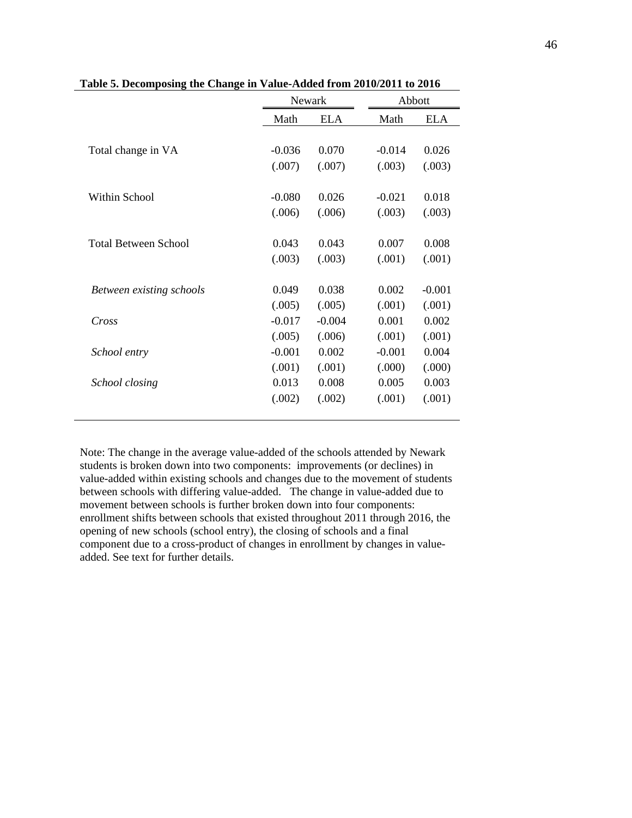|                             | Newark   |            | Abbott   |            |  |
|-----------------------------|----------|------------|----------|------------|--|
|                             | Math     | <b>ELA</b> | Math     | <b>ELA</b> |  |
|                             |          |            |          |            |  |
| Total change in VA          | $-0.036$ | 0.070      | $-0.014$ | 0.026      |  |
|                             | (.007)   | (.007)     | (.003)   | (.003)     |  |
|                             |          |            |          |            |  |
| Within School               | $-0.080$ | 0.026      | $-0.021$ | 0.018      |  |
|                             | (.006)   | (.006)     | (.003)   | (.003)     |  |
|                             |          |            |          |            |  |
| <b>Total Between School</b> | 0.043    | 0.043      | 0.007    | 0.008      |  |
|                             | (.003)   | (.003)     | (.001)   | (.001)     |  |
| Between existing schools    | 0.049    | 0.038      | 0.002    | $-0.001$   |  |
|                             | (.005)   | (.005)     | (.001)   | (.001)     |  |
| Cross                       | $-0.017$ | $-0.004$   | 0.001    | 0.002      |  |
|                             | (.005)   | (.006)     | (.001)   | (.001)     |  |
| School entry                | $-0.001$ | 0.002      | $-0.001$ | 0.004      |  |
|                             | (.001)   | (.001)     | (.000)   | (.000)     |  |
| School closing              | 0.013    | 0.008      | 0.005    | 0.003      |  |
|                             | (.002)   | (.002)     | (.001)   | (.001)     |  |
|                             |          |            |          |            |  |

**Table 5. Decomposing the Change in Value-Added from 2010/2011 to 2016**

Note: The change in the average value-added of the schools attended by Newark students is broken down into two components: improvements (or declines) in value-added within existing schools and changes due to the movement of students between schools with differing value-added. The change in value-added due to movement between schools is further broken down into four components: enrollment shifts between schools that existed throughout 2011 through 2016, the opening of new schools (school entry), the closing of schools and a final component due to a cross-product of changes in enrollment by changes in valueadded. See text for further details.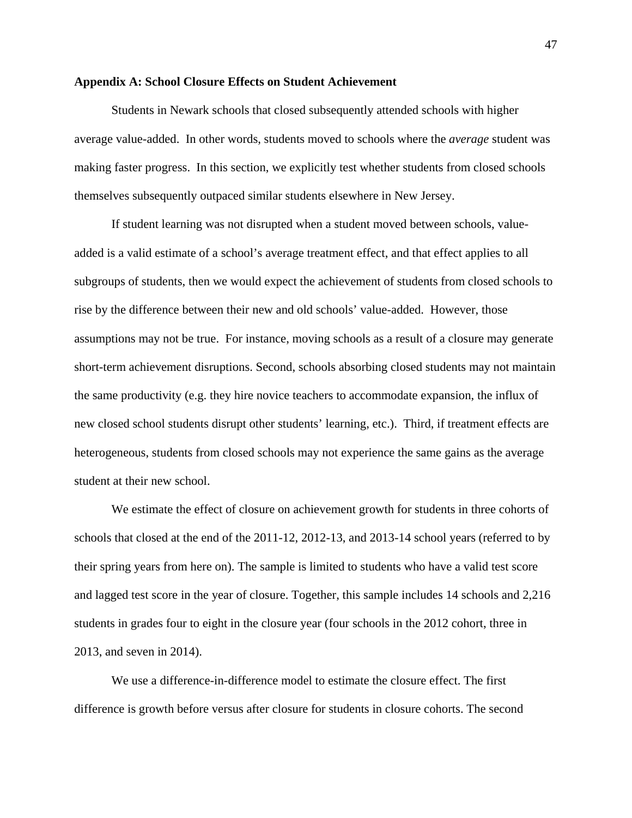#### **Appendix A: School Closure Effects on Student Achievement**

Students in Newark schools that closed subsequently attended schools with higher average value-added. In other words, students moved to schools where the *average* student was making faster progress. In this section, we explicitly test whether students from closed schools themselves subsequently outpaced similar students elsewhere in New Jersey.

If student learning was not disrupted when a student moved between schools, valueadded is a valid estimate of a school's average treatment effect, and that effect applies to all subgroups of students, then we would expect the achievement of students from closed schools to rise by the difference between their new and old schools' value-added. However, those assumptions may not be true. For instance, moving schools as a result of a closure may generate short-term achievement disruptions. Second, schools absorbing closed students may not maintain the same productivity (e.g. they hire novice teachers to accommodate expansion, the influx of new closed school students disrupt other students' learning, etc.). Third, if treatment effects are heterogeneous, students from closed schools may not experience the same gains as the average student at their new school.

We estimate the effect of closure on achievement growth for students in three cohorts of schools that closed at the end of the 2011-12, 2012-13, and 2013-14 school years (referred to by their spring years from here on). The sample is limited to students who have a valid test score and lagged test score in the year of closure. Together, this sample includes 14 schools and 2,216 students in grades four to eight in the closure year (four schools in the 2012 cohort, three in 2013, and seven in 2014).

We use a difference-in-difference model to estimate the closure effect. The first difference is growth before versus after closure for students in closure cohorts. The second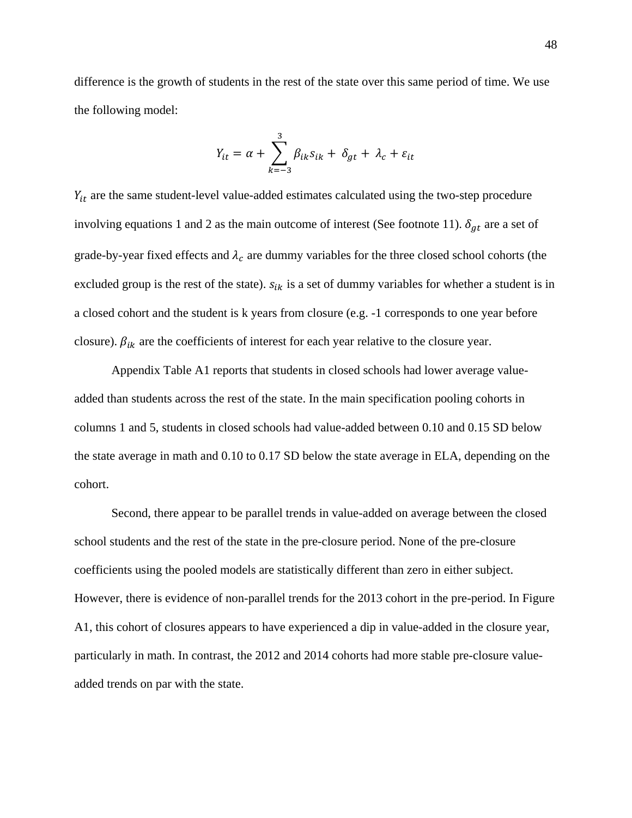difference is the growth of students in the rest of the state over this same period of time. We use the following model:

$$
Y_{it} = \alpha + \sum_{k=-3}^{3} \beta_{ik} s_{ik} + \delta_{gt} + \lambda_c + \varepsilon_{it}
$$

 $Y_{it}$  are the same student-level value-added estimates calculated using the two-step procedure involving equations 1 and 2 as the main outcome of interest (See footnote 11).  $\delta_{gt}$  are a set of grade-by-year fixed effects and  $\lambda_c$  are dummy variables for the three closed school cohorts (the excluded group is the rest of the state).  $s_{ik}$  is a set of dummy variables for whether a student is in a closed cohort and the student is k years from closure (e.g. -1 corresponds to one year before closure).  $\beta_{ik}$  are the coefficients of interest for each year relative to the closure year.

 Appendix Table A1 reports that students in closed schools had lower average valueadded than students across the rest of the state. In the main specification pooling cohorts in columns 1 and 5, students in closed schools had value-added between 0.10 and 0.15 SD below the state average in math and 0.10 to 0.17 SD below the state average in ELA, depending on the cohort.

Second, there appear to be parallel trends in value-added on average between the closed school students and the rest of the state in the pre-closure period. None of the pre-closure coefficients using the pooled models are statistically different than zero in either subject. However, there is evidence of non-parallel trends for the 2013 cohort in the pre-period. In Figure A1, this cohort of closures appears to have experienced a dip in value-added in the closure year, particularly in math. In contrast, the 2012 and 2014 cohorts had more stable pre-closure valueadded trends on par with the state.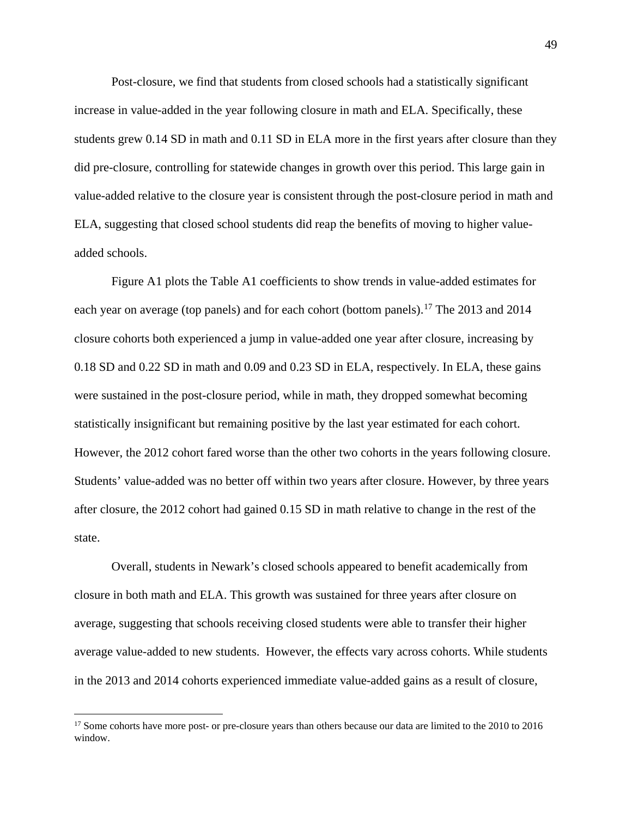Post-closure, we find that students from closed schools had a statistically significant increase in value-added in the year following closure in math and ELA. Specifically, these students grew 0.14 SD in math and 0.11 SD in ELA more in the first years after closure than they did pre-closure, controlling for statewide changes in growth over this period. This large gain in value-added relative to the closure year is consistent through the post-closure period in math and ELA, suggesting that closed school students did reap the benefits of moving to higher valueadded schools.

 Figure A1 plots the Table A1 coefficients to show trends in value-added estimates for each year on average (top panels) and for each cohort (bottom panels).<sup>[17](#page-48-0)</sup> The 2013 and 2014 closure cohorts both experienced a jump in value-added one year after closure, increasing by 0.18 SD and 0.22 SD in math and 0.09 and 0.23 SD in ELA, respectively. In ELA, these gains were sustained in the post-closure period, while in math, they dropped somewhat becoming statistically insignificant but remaining positive by the last year estimated for each cohort. However, the 2012 cohort fared worse than the other two cohorts in the years following closure. Students' value-added was no better off within two years after closure. However, by three years after closure, the 2012 cohort had gained 0.15 SD in math relative to change in the rest of the state.

Overall, students in Newark's closed schools appeared to benefit academically from closure in both math and ELA. This growth was sustained for three years after closure on average, suggesting that schools receiving closed students were able to transfer their higher average value-added to new students. However, the effects vary across cohorts. While students in the 2013 and 2014 cohorts experienced immediate value-added gains as a result of closure,

 $\overline{a}$ 

<span id="page-48-0"></span><sup>&</sup>lt;sup>17</sup> Some cohorts have more post- or pre-closure years than others because our data are limited to the 2010 to 2016 window.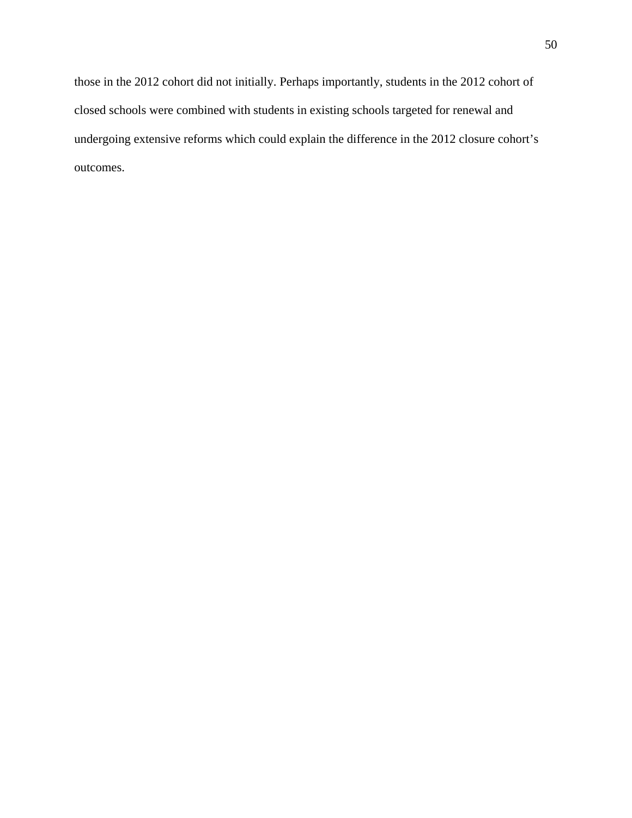those in the 2012 cohort did not initially. Perhaps importantly, students in the 2012 cohort of closed schools were combined with students in existing schools targeted for renewal and undergoing extensive reforms which could explain the difference in the 2012 closure cohort's outcomes.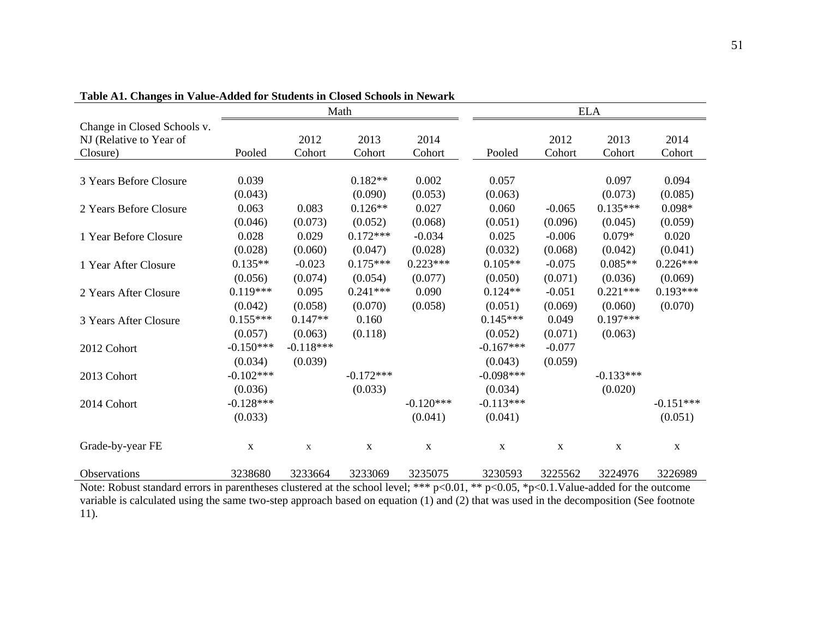| rabic Art, Changes in Value-August for Buddents in Closed Benoofs in Flewark |             |             |             |             |             |             |             |              |
|------------------------------------------------------------------------------|-------------|-------------|-------------|-------------|-------------|-------------|-------------|--------------|
|                                                                              | Math        |             |             |             |             | <b>ELA</b>  |             |              |
| Change in Closed Schools v.                                                  |             |             |             |             |             |             |             |              |
| NJ (Relative to Year of                                                      |             | 2012        | 2013        | 2014        |             | 2012        | 2013        | 2014         |
| Closure)                                                                     | Pooled      | Cohort      | Cohort      | Cohort      | Pooled      | Cohort      | Cohort      | Cohort       |
|                                                                              |             |             |             |             |             |             |             |              |
| 3 Years Before Closure                                                       | 0.039       |             | $0.182**$   | 0.002       | 0.057       |             | 0.097       | 0.094        |
|                                                                              | (0.043)     |             | (0.090)     | (0.053)     | (0.063)     |             | (0.073)     | (0.085)      |
| 2 Years Before Closure                                                       | 0.063       | 0.083       | $0.126**$   | 0.027       | 0.060       | $-0.065$    | $0.135***$  | $0.098*$     |
|                                                                              | (0.046)     | (0.073)     | (0.052)     | (0.068)     | (0.051)     | (0.096)     | (0.045)     | (0.059)      |
| 1 Year Before Closure                                                        | 0.028       | 0.029       | $0.172***$  | $-0.034$    | 0.025       | $-0.006$    | $0.079*$    | 0.020        |
|                                                                              | (0.028)     | (0.060)     | (0.047)     | (0.028)     | (0.032)     | (0.068)     | (0.042)     | (0.041)      |
| 1 Year After Closure                                                         | $0.135**$   | $-0.023$    | $0.175***$  | $0.223***$  | $0.105**$   | $-0.075$    | $0.085**$   | $0.226***$   |
|                                                                              | (0.056)     | (0.074)     | (0.054)     | (0.077)     | (0.050)     | (0.071)     | (0.036)     | (0.069)      |
| 2 Years After Closure                                                        | $0.119***$  | 0.095       | $0.241***$  | 0.090       | $0.124**$   | $-0.051$    | $0.221***$  | $0.193***$   |
|                                                                              | (0.042)     | (0.058)     | (0.070)     | (0.058)     | (0.051)     | (0.069)     | (0.060)     | (0.070)      |
| 3 Years After Closure                                                        | $0.155***$  | $0.147**$   | 0.160       |             | $0.145***$  | 0.049       | $0.197***$  |              |
|                                                                              | (0.057)     | (0.063)     | (0.118)     |             | (0.052)     | (0.071)     | (0.063)     |              |
| 2012 Cohort                                                                  | $-0.150***$ | $-0.118***$ |             |             | $-0.167***$ | $-0.077$    |             |              |
|                                                                              | (0.034)     | (0.039)     |             |             | (0.043)     | (0.059)     |             |              |
| 2013 Cohort                                                                  | $-0.102***$ |             | $-0.172***$ |             | $-0.098***$ |             | $-0.133***$ |              |
|                                                                              | (0.036)     |             | (0.033)     |             | (0.034)     |             | (0.020)     |              |
| 2014 Cohort                                                                  | $-0.128***$ |             |             | $-0.120***$ | $-0.113***$ |             |             | $-0.151***$  |
|                                                                              | (0.033)     |             |             | (0.041)     | (0.041)     |             |             | (0.051)      |
| Grade-by-year FE                                                             | $\mathbf X$ | $\mathbf X$ | $\mathbf X$ | $\mathbf X$ | $\mathbf X$ | $\mathbf X$ | $\mathbf X$ | $\mathbf{X}$ |
| Observations                                                                 | 3238680     | 3233664     | 3233069     | 3235075     | 3230593     | 3225562     | 3224976     | 3226989      |

**Table A1. Changes in Value-Added for Students in Closed Schools in Newark**

Note: Robust standard errors in parentheses clustered at the school level; \*\*\* p<0.01, \*\* p<0.05, \*p<0.1.Value-added for the outcome variable is calculated using the same two-step approach based on equation (1) and (2) that was used in the decomposition (See footnote 11).